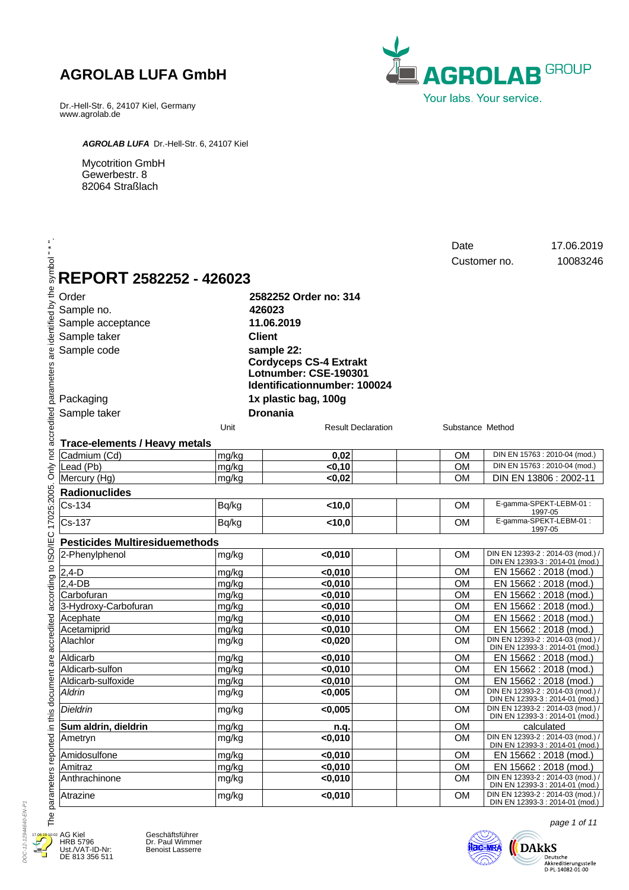Dr.-Hell-Str. 6, 24107 Kiel, Germany www.agrolab.de



*AGROLAB LUFA* Dr.-Hell-Str. 6, 24107 Kiel

Mycotrition GmbH Gewerbestr. 8 82064 Straßlach

| symbol                                      |                                       |                |                                                                                        | Date                   | 17.06.2019<br>10083246<br>Customer no.                               |
|---------------------------------------------|---------------------------------------|----------------|----------------------------------------------------------------------------------------|------------------------|----------------------------------------------------------------------|
|                                             | REPORT 2582252 - 426023               |                |                                                                                        |                        |                                                                      |
|                                             | Order                                 |                | 2582252 Order no: 314                                                                  |                        |                                                                      |
|                                             | Sample no.                            |                | 426023                                                                                 |                        |                                                                      |
|                                             | Sample acceptance                     |                | 11.06.2019                                                                             |                        |                                                                      |
|                                             | Sample taker                          |                | <b>Client</b>                                                                          |                        |                                                                      |
|                                             | Sample code                           |                | sample 22:                                                                             |                        |                                                                      |
| parameters are identified by the            |                                       |                | <b>Cordyceps CS-4 Extrakt</b><br>Lotnumber: CSE-190301<br>Identificationnumber: 100024 |                        |                                                                      |
|                                             | Packaging                             |                | 1x plastic bag, 100g                                                                   |                        |                                                                      |
|                                             |                                       |                |                                                                                        |                        |                                                                      |
|                                             | Sample taker                          |                | <b>Dronania</b>                                                                        |                        |                                                                      |
|                                             |                                       | Unit           | <b>Result Declaration</b>                                                              | Substance Method       |                                                                      |
| Only not accredited                         | <b>Trace-elements / Heavy metals</b>  |                |                                                                                        |                        |                                                                      |
|                                             | Cadmium (Cd)                          | mg/kg          | 0,02                                                                                   | <b>OM</b>              | DIN EN 15763 : 2010-04 (mod.)                                        |
|                                             | Lead (Pb)                             | mg/kg          | < 0, 10                                                                                | <b>OM</b>              | DIN EN 15763 : 2010-04 (mod.)                                        |
|                                             | Mercury (Hg)                          | mg/kg          | <0,02                                                                                  | <b>OM</b>              | DIN EN 13806 : 2002-11                                               |
|                                             | <b>Radionuclides</b>                  |                |                                                                                        |                        |                                                                      |
|                                             | Cs-134                                | Bq/kg          | 10,0                                                                                   | <b>OM</b>              | E-gamma-SPEKT-LEBM-01:<br>1997-05                                    |
|                                             | Cs-137                                | Bq/kg          | < 10,0                                                                                 | <b>OM</b>              | E-gamma-SPEKT-LEBM-01:<br>1997-05                                    |
|                                             | <b>Pesticides Multiresiduemethods</b> |                |                                                                                        |                        |                                                                      |
|                                             | 2-Phenylphenol                        | mg/kg          | < 0,010                                                                                | <b>OM</b>              | DIN EN 12393-2 : 2014-03 (mod.) /<br>DIN EN 12393-3 : 2014-01 (mod.) |
|                                             | $2,4-D$                               | mg/kg          | $0,010$                                                                                | <b>OM</b>              | EN 15662 : 2018 (mod.)                                               |
|                                             | $2,4$ -DB                             | mg/kg          | < 0,010                                                                                | <b>OM</b>              | EN 15662 : 2018 (mod.)                                               |
|                                             | Carbofuran                            | mg/kg          | < 0,010                                                                                | <b>OM</b>              | EN 15662 : 2018 (mod.)                                               |
|                                             | 3-Hydroxy-Carbofuran                  | mg/kg          | $0,010$                                                                                | <b>OM</b>              | EN 15662 : 2018 (mod.)                                               |
|                                             | Acephate<br>Acetamiprid               | mg/kg<br>mg/kg | $0,010$<br>$0,010$                                                                     | <b>OM</b><br><b>OM</b> | EN 15662 : 2018 (mod.)<br>EN 15662 : 2018 (mod.)                     |
| accredited according to ISO/IEC 17025:2005. | Alachlor                              | mg/kg          | < 0,020                                                                                | <b>OM</b>              | DIN EN 12393-2 : 2014-03 (mod.)<br>DIN EN 12393-3 : 2014-01 (mod.)   |
|                                             | Aldicarb                              | mg/kg          | $0,010$                                                                                | <b>OM</b>              | EN 15662 : 2018 (mod.)                                               |
|                                             | Aldicarb-sulfon                       | mg/kg          | $0,010$                                                                                | <b>OM</b>              | EN 15662 : 2018 (mod.)                                               |
|                                             | Aldicarb-sulfoxide                    | mg/kg          | < 0,010                                                                                | <b>OM</b>              | EN 15662 : 2018 (mod.)                                               |
| document are                                | Aldrin                                | mg/kg          | < 0,005                                                                                | <b>OM</b>              | DIN EN 12393-2 : 2014-03 (mod.) /<br>DIN EN 12393-3 : 2014-01 (mod.) |
|                                             | Dieldrin                              | mg/kg          | $\sqrt{0.005}$                                                                         | OM                     | DIN EN 12393-2 : 2014-03 (mod.) /<br>DIN EN 12393-3 : 2014-01 (mod.) |
|                                             | Sum aldrin, dieldrin                  | mg/kg          | n.q.                                                                                   | <b>OM</b>              | calculated                                                           |
| parameters reported in this                 | Ametryn                               | mg/kg          | $0,010$                                                                                | <b>OM</b>              | DIN EN 12393-2 : 2014-03 (mod.) /<br>DIN EN 12393-3 : 2014-01 (mod.) |
|                                             | Amidosulfone                          | mg/kg          | $0,010$                                                                                | <b>OM</b>              | EN 15662 : 2018 (mod.)                                               |
|                                             | Amitraz                               | mg/kg          | < 0,010                                                                                | <b>OM</b>              | EN 15662 : 2018 (mod.)                                               |
|                                             | Anthrachinone                         | mg/kg          | < 0,010                                                                                | <b>OM</b>              | DIN EN 12393-2 : 2014-03 (mod.)<br>DIN EN 12393-3 : 2014-01 (mod.)   |
|                                             | Atrazine                              | mg/kg          | < 0,010                                                                                | <b>OM</b>              | DIN EN 12393-2 : 2014-03 (mod.) /<br>DIN EN 12393-3 : 2014-01 (mod.) |

DOC-12-12944640-EN-P1 DOC-12-12944640-EN-P1  $17.06$ Д

AG Kiel HRB 5796 Ust./VAT-ID-Nr: DE 813 356 511

Geschäftsführer Dr. Paul Wimmer Benoist Lasserre



page 1 of 11

 $\big( \hspace{-6pt} \underset{\scriptscriptstyle{\text{D-PL-14082-01-00}}{\text{D-RLkres}}$  Akkreditierungsstelle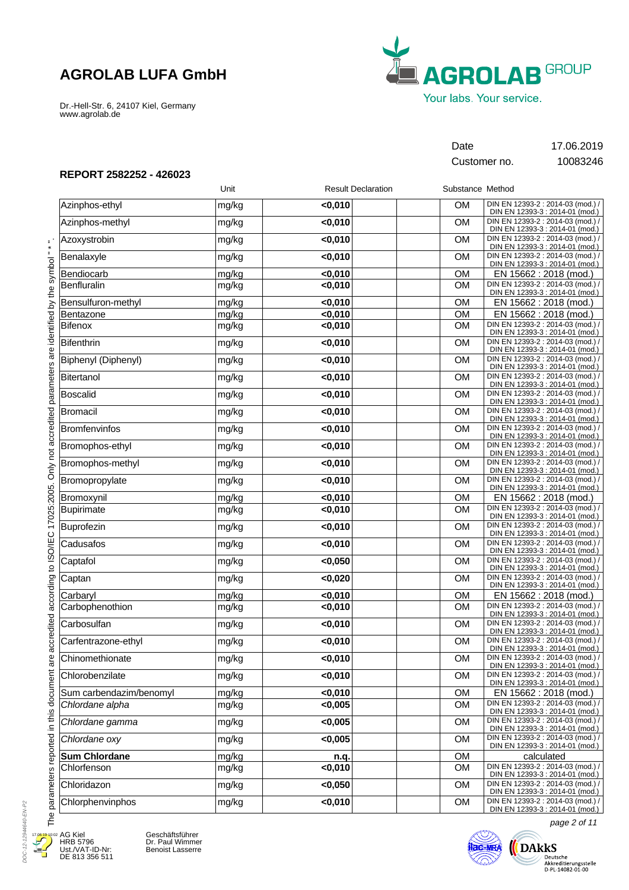Dr.-Hell-Str. 6, 24107 Kiel, Germany www.agrolab.de



Customer no. 10083246

Date 17.06.2019

### **REPORT 2582252 - 426023**

|                         | Unit  | <b>Result Declaration</b> | Substance Method |                                                                                                         |
|-------------------------|-------|---------------------------|------------------|---------------------------------------------------------------------------------------------------------|
| Azinphos-ethyl          | mg/kg | < 0.010                   | <b>OM</b>        | DIN EN 12393-2 : 2014-03 (mod.) /<br>DIN EN 12393-3 : 2014-01 (mod.)                                    |
| Azinphos-methyl         | mg/kg | $0,010$                   | <b>OM</b>        | DIN EN 12393-2 : 2014-03 (mod.) /<br>DIN EN 12393-3 : 2014-01 (mod.)                                    |
| Azoxystrobin            | mg/kg | < 0,010                   | <b>OM</b>        | DIN EN 12393-2 : 2014-03 (mod.) /<br>DIN EN 12393-3 : 2014-01 (mod.)                                    |
| Benalaxyle              | mg/kg | $0,010$                   | <b>OM</b>        | DIN EN 12393-2 : 2014-03 (mod.) /<br>DIN EN 12393-3 : 2014-01 (mod.)                                    |
| Bendiocarb              | mg/kg | < 0,010                   | <b>OM</b>        | EN 15662 : 2018 (mod.)                                                                                  |
| Benfluralin             | mg/kg | $0,010$                   | <b>OM</b>        | DIN EN 12393-2 : 2014-03 (mod.) /<br>DIN EN 12393-3 : 2014-01 (mod.)                                    |
| Bensulfuron-methyl      | mg/kg | < 0,010                   | <b>OM</b>        | EN 15662 : 2018 (mod.)                                                                                  |
| Bentazone               | mg/kg | $0,010$                   | OM               | EN 15662 : 2018 (mod.)                                                                                  |
| Bifenox                 | mg/kg | $0,010$                   | <b>OM</b>        | DIN EN 12393-2 : 2014-03 (mod.) /<br>DIN EN 12393-3 : 2014-01 (mod.)                                    |
| Bifenthrin              | mg/kg | $0,010$                   | <b>OM</b>        | DIN EN 12393-2 : 2014-03 (mod.)<br>DIN EN 12393-3 : 2014-01 (mod.)                                      |
| Biphenyl (Diphenyl)     | mg/kg | $0,010$                   | <b>OM</b>        | DIN EN 12393-2 : 2014-03 (mod.) /<br>DIN EN 12393-3 : 2014-01 (mod.)                                    |
| Bitertanol              | mg/kg | $0,010$                   | <b>OM</b>        | DIN EN 12393-2 : 2014-03 (mod.) /<br>DIN EN 12393-3 : 2014-01 (mod.)                                    |
| Boscalid                | mg/kg | < 0,010                   | <b>OM</b>        | DIN EN 12393-2 : 2014-03 (mod.) /<br>DIN EN 12393-3 : 2014-01 (mod.)                                    |
| Bromacil                | mg/kg | $0,010$                   | <b>OM</b>        | DIN EN 12393-2 : 2014-03 (mod.) /<br>DIN EN 12393-3 : 2014-01 (mod.)                                    |
| <b>Bromfenvinfos</b>    | mg/kg | $0,010$                   | <b>OM</b>        | DIN EN 12393-2 : 2014-03 (mod.) /<br>DIN EN 12393-3 : 2014-01 (mod.)                                    |
| Bromophos-ethyl         | mg/kg | $0,010$                   | <b>OM</b>        | DIN EN 12393-2 : 2014-03 (mod.) /<br>DIN EN 12393-3 : 2014-01 (mod.)                                    |
| Bromophos-methyl        | mg/kg | $0,010$                   | <b>OM</b>        | DIN EN 12393-2 : 2014-03 (mod.) /<br>DIN EN 12393-3 : 2014-01 (mod.)                                    |
| Bromopropylate          | mg/kg | $0,010$                   | <b>OM</b>        | DIN EN 12393-2 : 2014-03 (mod.) /<br>DIN EN 12393-3 : 2014-01 (mod.)                                    |
| Bromoxynil              | mg/kg | $0,010$                   | <b>OM</b>        | EN 15662 : 2018 (mod.)                                                                                  |
| Bupirimate              | mg/kg | $0,010$                   | <b>OM</b>        | DIN EN 12393-2 : 2014-03 (mod.) /<br>DIN EN 12393-3 : 2014-01 (mod.)                                    |
| Buprofezin              | mg/kg | $0,010$                   | <b>OM</b>        | DIN EN 12393-2 : 2014-03 (mod.) /<br>DIN EN 12393-3 : 2014-01 (mod.)                                    |
| Cadusafos               | mg/kg | $0,010$                   | <b>OM</b>        | DIN EN 12393-2 : 2014-03 (mod.) /<br>DIN EN 12393-3 : 2014-01 (mod.)                                    |
| Captafol                | mg/kg | < 0,050                   | <b>OM</b>        | DIN EN 12393-2 : 2014-03 (mod.) /<br>DIN EN 12393-3 : 2014-01 (mod.)                                    |
| Captan                  | mg/kg | < 0,020                   | <b>OM</b>        | DIN EN 12393-2 : 2014-03 (mod.) /<br>DIN EN 12393-3 : 2014-01 (mod.)                                    |
| Carbaryl                | mg/kg | $\overline{<}$ 0,010      | <b>OM</b>        | EN 15662 : 2018 (mod.)                                                                                  |
| Carbophenothion         | mg/kg | $0,010$                   | <b>OM</b>        | DIN EN 12393-2 : 2014-03 (mod.) /                                                                       |
| Carbosulfan             | mg/kg | $0,010$                   | <b>OM</b>        | DIN EN 12393-3 : 2014-01 (mod.)<br>DIN EN 12393-2 : 2014-03 (mod.) /                                    |
| Carfentrazone-ethyl     | mg/kg | $0,010$                   | <b>OM</b>        | DIN EN 12393-3 : 2014-01 (mod.)<br>DIN EN 12393-2 : 2014-03 (mod.) /                                    |
| Chinomethionate         | mg/kg | $0,010$                   | OM               | DIN EN 12393-3 : 2014-01 (mod.)<br>DIN EN 12393-2 : 2014-03 (mod.) /<br>DIN EN 12393-3 : 2014-01 (mod.) |
| Chlorobenzilate         | mg/kg | < 0,010                   | <b>OM</b>        | DIN EN 12393-2 : 2014-03 (mod.) /                                                                       |
| Sum carbendazim/benomyl | mg/kg | < 0,010                   | <b>OM</b>        | DIN EN 12393-3 : 2014-01 (mod.)<br>EN 15662 : 2018 (mod.)                                               |
| Chlordane alpha         | mg/kg | < 0,005                   | <b>OM</b>        | DIN EN 12393-2 : 2014-03 (mod.) /<br>DIN EN 12393-3 : 2014-01 (mod.)                                    |
| Chlordane gamma         | mg/kg | < 0,005                   | <b>OM</b>        | DIN EN 12393-2 : 2014-03 (mod.) /<br>DIN EN 12393-3 : 2014-01 (mod.)                                    |
| Chlordane oxy           | mg/kg | < 0.005                   | <b>OM</b>        | DIN EN 12393-2 : 2014-03 (mod.) /<br>DIN EN 12393-3 : 2014-01 (mod.)                                    |
| <b>Sum Chlordane</b>    | mg/kg | n.q.                      | <b>OM</b>        | calculated                                                                                              |
| Chlorfenson             | mg/kg | $0,010$                   | <b>OM</b>        | DIN EN 12393-2 : 2014-03 (mod.)<br>DIN EN 12393-3 : 2014-01 (mod.)                                      |
| Chloridazon             | mg/kg | < 0,050                   | OM               | DIN EN 12393-2 : 2014-03 (mod.) /<br>DIN EN 12393-3 : 2014-01 (mod.)                                    |
| Chlorphenvinphos        | mg/kg | $0,010$                   | <b>OM</b>        | DIN EN 12393-2 : 2014-03 (mod.) /<br>DIN EN 12393-3 : 2014-01 (mod.)                                    |



E

AG Kiel HRB 5796 Ust./VAT-ID-Nr: DE 813 356 511

Geschäftsführer Dr. Paul Wimmer Benoist Lasserre



page 2 of 11

 $\bigotimes_{\text{Deutsche}\\ \text{DAtKS}\\ \text{Akkreditierungsstelle}\\ \text{D-PL-14082-01-00}}$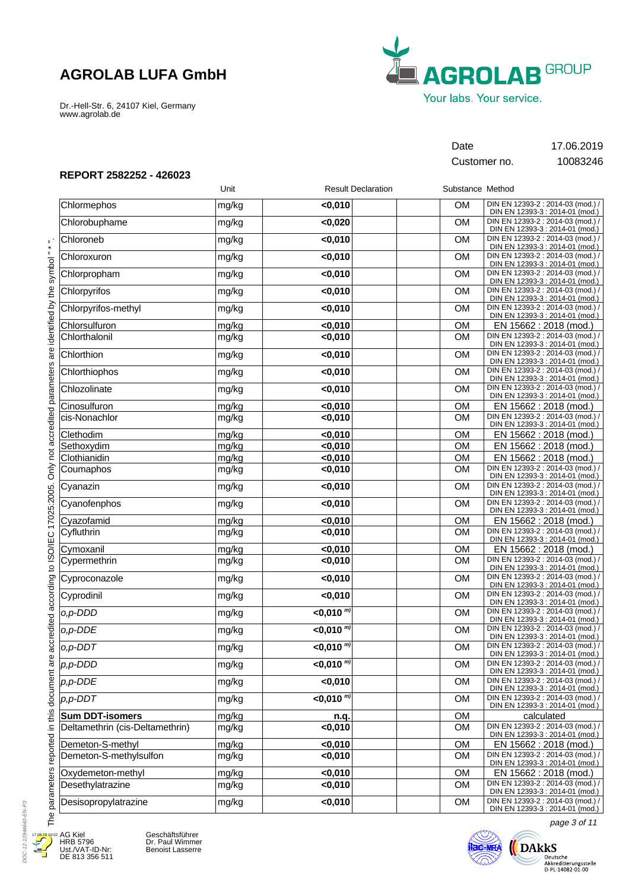Dr.-Hell-Str. 6, 24107 Kiel, Germany www.agrolab.de



Customer no. 10083246

Date 17.06.2019

**REPORT 2582252 - 426023**

| DIN EN 12393-2 : 2014-03 (mod.) /<br><b>OM</b><br>< 0,010<br>mg/kg<br>DIN EN 12393-3 : 2014-01 (mod.)<br>DIN EN 12393-2 : 2014-03 (mod.) /<br>Chlorobuphame<br><b>OM</b><br>mg/kg<br>< 0,020<br>DIN EN 12393-3 : 2014-01 (mod.)<br>DIN EN 12393-2 : 2014-03 (mod.) /<br>Chloroneb<br><b>OM</b><br>mg/kg<br>$0,010$<br>DIN EN 12393-3 : 2014-01 (mod.)<br>DIN EN 12393-2 : 2014-03 (mod.) /<br>OM<br>Chloroxuron<br>$0,010$<br>mg/kg<br>DIN EN 12393-3 : 2014-01 (mod.)<br>DIN EN 12393-2 : 2014-03 (mod.) /<br>Chlorpropham<br>< 0,010<br><b>OM</b><br>mg/kg<br>DIN EN 12393-3 : 2014-01 (mod.)<br>DIN EN 12393-2 : 2014-03 (mod.) /<br>$0,010$<br>OM<br>mg/kg<br>DIN EN 12393-3 : 2014-01 (mod.)<br>DIN EN 12393-2 : 2014-03 (mod.) /<br>Chlorpyrifos-methyl<br>$0,010$<br><b>OM</b><br>mg/kg<br>DIN EN 12393-3 : 2014-01 (mod.)<br>$0,010$<br>Chlorsulfuron<br>mg/kg<br>OM<br>EN 15662 : 2018 (mod.)<br>DIN EN 12393-2 : 2014-03 (mod.) /<br>Chlorthalonil<br>$0,010$<br><b>OM</b><br>mg/kg<br>DIN EN 12393-3 : 2014-01 (mod.)<br>DIN EN 12393-2 : 2014-03 (mod.) /<br>Chlorthion<br>$0,010$<br><b>OM</b><br>mg/kg<br>DIN EN 12393-3 : 2014-01 (mod.)<br>DIN EN 12393-2 : 2014-03 (mod.) /<br><b>OM</b><br>Chlorthiophos<br>$0,010$<br>mg/kg<br>DIN EN 12393-3 : 2014-01 (mod.)<br>DIN EN 12393-2 : 2014-03 (mod.) /<br>Chlozolinate<br><b>OM</b><br>$0,010$<br>mg/kg<br>DIN EN 12393-3 : 2014-01 (mod.)<br>< 0,010<br><b>OM</b><br>EN 15662 : 2018 (mod.)<br>Cinosulfuron<br>mg/kg<br>DIN EN 12393-2 : 2014-03 (mod.) /<br>cis-Nonachlor<br><b>OM</b><br>$0,010$<br>mg/kg<br>DIN EN 12393-3 : 2014-01 (mod.)<br><b>OM</b><br>Clethodim<br>< 0,010<br>EN 15662 : 2018 (mod.)<br>mg/kg<br><b>OM</b><br>Sethoxydim<br>mg/kg<br>< 0,010<br>EN 15662 : 2018 (mod.)<br><b>OM</b><br>Clothianidin<br>< 0,010<br>EN 15662 : 2018 (mod.)<br>mg/kg<br>DIN EN 12393-2 : 2014-03 (mod.) /<br><b>OM</b><br>< 0,010<br>mg/kg<br>DIN EN 12393-3 : 2014-01 (mod.)<br>DIN EN 12393-2 : 2014-03 (mod.) /<br><b>OM</b><br>Cyanazin<br>$0,010$<br>mg/kg<br>DIN EN 12393-3 : 2014-01 (mod.)<br>DIN EN 12393-2 : 2014-03 (mod.) /<br>OM<br>Cyanofenphos<br>< 0,010<br>mg/kg<br>DIN EN 12393-3 : 2014-01 (mod.)<br>Cyazofamid<br>< 0,010<br>OM<br>mg/kg<br>EN 15662 : 2018 (mod.)<br>DIN EN 12393-2 : 2014-03 (mod.) /<br>< 0,010<br><b>OM</b><br>mg/kg<br>DIN EN 12393-3 : 2014-01 (mod.)<br><b>OM</b><br>Cymoxanil<br>< 0,010<br>mg/kg<br>EN 15662 : 2018 (mod.)<br>DIN EN 12393-2 : 2014-03 (mod.) /<br><b>OM</b><br>< 0,010<br>Cypermethrin<br>mg/kg<br>DIN EN 12393-3 : 2014-01 (mod.)<br>DIN EN 12393-2 : 2014-03 (mod.) /<br>Cyproconazole<br>< 0,010<br><b>OM</b><br>mg/kg<br>DIN EN 12393-3 : 2014-01 (mod.)<br>DIN EN 12393-2 : 2014-03 (mod.) /<br>Cyprodinil<br>$0,010$<br><b>OM</b><br>mg/kg<br>DIN EN 12393-3 : 2014-01 (mod.)<br>DIN EN 12393-2 : 2014-03 (mod.) /<br>$<$ 0,010 $^{m}$<br>o,p-DDD<br><b>OM</b><br>mg/kg<br>DIN EN 12393-3 : 2014-01 (mod.)<br>$< 0,010^{m}$<br>DIN EN 12393-2 : 2014-03 (mod.) /<br><b>OM</b><br>o,p-DDE<br>mg/kg<br>DIN EN 12393-3 : 2014-01 (mod.)<br>DIN EN 12393-2 : 2014-03 (mod.) /<br>$<$ 0,010 $^{m}$<br><b>OM</b><br>$o, p$ -DDT<br>mg/kg<br>DIN EN 12393-3 : 2014-01 (mod.)<br>mg/kg<br>$<$ 0,010 $^{m}$<br>OM<br>DIN EN 12393-2 : 2014-03 (mod.) /<br>DIN EN 12393-3 : 2014-01 (mod.)<br>DIN EN 12393-2 : 2014-03 (mod.) /<br>$0,010$<br><b>OM</b><br>mg/kg<br>DIN EN 12393-3 : 2014-01 (mod.)<br>$< 0,010^{m}$<br>DIN EN 12393-2 : 2014-03 (mod.) /<br><b>OM</b><br>mg/kg<br>DIN EN 12393-3 : 2014-01 (mod.)<br>mg/kg<br>OM<br>calculated<br>n.q.<br>DIN EN 12393-2 : 2014-03 (mod.) /<br>$0,010$<br><b>OM</b><br>mg/kg<br>DIN EN 12393-3 : 2014-01 (mod.)<br>< 0,010<br>OM<br>mg/kg<br>EN 15662 : 2018 (mod.)<br>DIN EN 12393-2 : 2014-03 (mod.) /<br>Demeton-S-methylsulfon<br>$0,010$<br>mg/kg<br><b>OM</b><br>DIN EN 12393-3 : 2014-01 (mod.)<br>Oxydemeton-methyl<br>mg/kg<br>< 0,010<br><b>OM</b><br>EN 15662 : 2018 (mod.)<br>DIN EN 12393-2 : 2014-03 (mod.) /<br>$0,010$<br><b>OM</b><br>mg/kg<br>DIN EN 12393-3 : 2014-01 (mod.)<br>DIN EN 12393-2 : 2014-03 (mod.) /<br>$0,010$<br><b>OM</b><br>Desisopropylatrazine<br>mg/kg<br>DIN EN 12393-3 : 2014-01 (mod.) |                                 | Unit | <b>Result Declaration</b> | Substance Method |  |
|--------------------------------------------------------------------------------------------------------------------------------------------------------------------------------------------------------------------------------------------------------------------------------------------------------------------------------------------------------------------------------------------------------------------------------------------------------------------------------------------------------------------------------------------------------------------------------------------------------------------------------------------------------------------------------------------------------------------------------------------------------------------------------------------------------------------------------------------------------------------------------------------------------------------------------------------------------------------------------------------------------------------------------------------------------------------------------------------------------------------------------------------------------------------------------------------------------------------------------------------------------------------------------------------------------------------------------------------------------------------------------------------------------------------------------------------------------------------------------------------------------------------------------------------------------------------------------------------------------------------------------------------------------------------------------------------------------------------------------------------------------------------------------------------------------------------------------------------------------------------------------------------------------------------------------------------------------------------------------------------------------------------------------------------------------------------------------------------------------------------------------------------------------------------------------------------------------------------------------------------------------------------------------------------------------------------------------------------------------------------------------------------------------------------------------------------------------------------------------------------------------------------------------------------------------------------------------------------------------------------------------------------------------------------------------------------------------------------------------------------------------------------------------------------------------------------------------------------------------------------------------------------------------------------------------------------------------------------------------------------------------------------------------------------------------------------------------------------------------------------------------------------------------------------------------------------------------------------------------------------------------------------------------------------------------------------------------------------------------------------------------------------------------------------------------------------------------------------------------------------------------------------------------------------------------------------------------------------------------------------------------------------------------------------------------------------------------------------------------------------------------------------------------------------------------------------------------------------------------------------------------------------------------------------------------------------------------------------------------------------------------------------------------------------------------------------------------------------------------------------------------------------------------------------------------------------------------------------|---------------------------------|------|---------------------------|------------------|--|
|                                                                                                                                                                                                                                                                                                                                                                                                                                                                                                                                                                                                                                                                                                                                                                                                                                                                                                                                                                                                                                                                                                                                                                                                                                                                                                                                                                                                                                                                                                                                                                                                                                                                                                                                                                                                                                                                                                                                                                                                                                                                                                                                                                                                                                                                                                                                                                                                                                                                                                                                                                                                                                                                                                                                                                                                                                                                                                                                                                                                                                                                                                                                                                                                                                                                                                                                                                                                                                                                                                                                                                                                                                                                                                                                                                                                                                                                                                                                                                                                                                                                                                                                                                                                                    | Chlormephos                     |      |                           |                  |  |
|                                                                                                                                                                                                                                                                                                                                                                                                                                                                                                                                                                                                                                                                                                                                                                                                                                                                                                                                                                                                                                                                                                                                                                                                                                                                                                                                                                                                                                                                                                                                                                                                                                                                                                                                                                                                                                                                                                                                                                                                                                                                                                                                                                                                                                                                                                                                                                                                                                                                                                                                                                                                                                                                                                                                                                                                                                                                                                                                                                                                                                                                                                                                                                                                                                                                                                                                                                                                                                                                                                                                                                                                                                                                                                                                                                                                                                                                                                                                                                                                                                                                                                                                                                                                                    |                                 |      |                           |                  |  |
|                                                                                                                                                                                                                                                                                                                                                                                                                                                                                                                                                                                                                                                                                                                                                                                                                                                                                                                                                                                                                                                                                                                                                                                                                                                                                                                                                                                                                                                                                                                                                                                                                                                                                                                                                                                                                                                                                                                                                                                                                                                                                                                                                                                                                                                                                                                                                                                                                                                                                                                                                                                                                                                                                                                                                                                                                                                                                                                                                                                                                                                                                                                                                                                                                                                                                                                                                                                                                                                                                                                                                                                                                                                                                                                                                                                                                                                                                                                                                                                                                                                                                                                                                                                                                    |                                 |      |                           |                  |  |
|                                                                                                                                                                                                                                                                                                                                                                                                                                                                                                                                                                                                                                                                                                                                                                                                                                                                                                                                                                                                                                                                                                                                                                                                                                                                                                                                                                                                                                                                                                                                                                                                                                                                                                                                                                                                                                                                                                                                                                                                                                                                                                                                                                                                                                                                                                                                                                                                                                                                                                                                                                                                                                                                                                                                                                                                                                                                                                                                                                                                                                                                                                                                                                                                                                                                                                                                                                                                                                                                                                                                                                                                                                                                                                                                                                                                                                                                                                                                                                                                                                                                                                                                                                                                                    |                                 |      |                           |                  |  |
|                                                                                                                                                                                                                                                                                                                                                                                                                                                                                                                                                                                                                                                                                                                                                                                                                                                                                                                                                                                                                                                                                                                                                                                                                                                                                                                                                                                                                                                                                                                                                                                                                                                                                                                                                                                                                                                                                                                                                                                                                                                                                                                                                                                                                                                                                                                                                                                                                                                                                                                                                                                                                                                                                                                                                                                                                                                                                                                                                                                                                                                                                                                                                                                                                                                                                                                                                                                                                                                                                                                                                                                                                                                                                                                                                                                                                                                                                                                                                                                                                                                                                                                                                                                                                    |                                 |      |                           |                  |  |
|                                                                                                                                                                                                                                                                                                                                                                                                                                                                                                                                                                                                                                                                                                                                                                                                                                                                                                                                                                                                                                                                                                                                                                                                                                                                                                                                                                                                                                                                                                                                                                                                                                                                                                                                                                                                                                                                                                                                                                                                                                                                                                                                                                                                                                                                                                                                                                                                                                                                                                                                                                                                                                                                                                                                                                                                                                                                                                                                                                                                                                                                                                                                                                                                                                                                                                                                                                                                                                                                                                                                                                                                                                                                                                                                                                                                                                                                                                                                                                                                                                                                                                                                                                                                                    | Chlorpyrifos                    |      |                           |                  |  |
|                                                                                                                                                                                                                                                                                                                                                                                                                                                                                                                                                                                                                                                                                                                                                                                                                                                                                                                                                                                                                                                                                                                                                                                                                                                                                                                                                                                                                                                                                                                                                                                                                                                                                                                                                                                                                                                                                                                                                                                                                                                                                                                                                                                                                                                                                                                                                                                                                                                                                                                                                                                                                                                                                                                                                                                                                                                                                                                                                                                                                                                                                                                                                                                                                                                                                                                                                                                                                                                                                                                                                                                                                                                                                                                                                                                                                                                                                                                                                                                                                                                                                                                                                                                                                    |                                 |      |                           |                  |  |
|                                                                                                                                                                                                                                                                                                                                                                                                                                                                                                                                                                                                                                                                                                                                                                                                                                                                                                                                                                                                                                                                                                                                                                                                                                                                                                                                                                                                                                                                                                                                                                                                                                                                                                                                                                                                                                                                                                                                                                                                                                                                                                                                                                                                                                                                                                                                                                                                                                                                                                                                                                                                                                                                                                                                                                                                                                                                                                                                                                                                                                                                                                                                                                                                                                                                                                                                                                                                                                                                                                                                                                                                                                                                                                                                                                                                                                                                                                                                                                                                                                                                                                                                                                                                                    |                                 |      |                           |                  |  |
|                                                                                                                                                                                                                                                                                                                                                                                                                                                                                                                                                                                                                                                                                                                                                                                                                                                                                                                                                                                                                                                                                                                                                                                                                                                                                                                                                                                                                                                                                                                                                                                                                                                                                                                                                                                                                                                                                                                                                                                                                                                                                                                                                                                                                                                                                                                                                                                                                                                                                                                                                                                                                                                                                                                                                                                                                                                                                                                                                                                                                                                                                                                                                                                                                                                                                                                                                                                                                                                                                                                                                                                                                                                                                                                                                                                                                                                                                                                                                                                                                                                                                                                                                                                                                    |                                 |      |                           |                  |  |
|                                                                                                                                                                                                                                                                                                                                                                                                                                                                                                                                                                                                                                                                                                                                                                                                                                                                                                                                                                                                                                                                                                                                                                                                                                                                                                                                                                                                                                                                                                                                                                                                                                                                                                                                                                                                                                                                                                                                                                                                                                                                                                                                                                                                                                                                                                                                                                                                                                                                                                                                                                                                                                                                                                                                                                                                                                                                                                                                                                                                                                                                                                                                                                                                                                                                                                                                                                                                                                                                                                                                                                                                                                                                                                                                                                                                                                                                                                                                                                                                                                                                                                                                                                                                                    |                                 |      |                           |                  |  |
|                                                                                                                                                                                                                                                                                                                                                                                                                                                                                                                                                                                                                                                                                                                                                                                                                                                                                                                                                                                                                                                                                                                                                                                                                                                                                                                                                                                                                                                                                                                                                                                                                                                                                                                                                                                                                                                                                                                                                                                                                                                                                                                                                                                                                                                                                                                                                                                                                                                                                                                                                                                                                                                                                                                                                                                                                                                                                                                                                                                                                                                                                                                                                                                                                                                                                                                                                                                                                                                                                                                                                                                                                                                                                                                                                                                                                                                                                                                                                                                                                                                                                                                                                                                                                    |                                 |      |                           |                  |  |
|                                                                                                                                                                                                                                                                                                                                                                                                                                                                                                                                                                                                                                                                                                                                                                                                                                                                                                                                                                                                                                                                                                                                                                                                                                                                                                                                                                                                                                                                                                                                                                                                                                                                                                                                                                                                                                                                                                                                                                                                                                                                                                                                                                                                                                                                                                                                                                                                                                                                                                                                                                                                                                                                                                                                                                                                                                                                                                                                                                                                                                                                                                                                                                                                                                                                                                                                                                                                                                                                                                                                                                                                                                                                                                                                                                                                                                                                                                                                                                                                                                                                                                                                                                                                                    |                                 |      |                           |                  |  |
|                                                                                                                                                                                                                                                                                                                                                                                                                                                                                                                                                                                                                                                                                                                                                                                                                                                                                                                                                                                                                                                                                                                                                                                                                                                                                                                                                                                                                                                                                                                                                                                                                                                                                                                                                                                                                                                                                                                                                                                                                                                                                                                                                                                                                                                                                                                                                                                                                                                                                                                                                                                                                                                                                                                                                                                                                                                                                                                                                                                                                                                                                                                                                                                                                                                                                                                                                                                                                                                                                                                                                                                                                                                                                                                                                                                                                                                                                                                                                                                                                                                                                                                                                                                                                    |                                 |      |                           |                  |  |
|                                                                                                                                                                                                                                                                                                                                                                                                                                                                                                                                                                                                                                                                                                                                                                                                                                                                                                                                                                                                                                                                                                                                                                                                                                                                                                                                                                                                                                                                                                                                                                                                                                                                                                                                                                                                                                                                                                                                                                                                                                                                                                                                                                                                                                                                                                                                                                                                                                                                                                                                                                                                                                                                                                                                                                                                                                                                                                                                                                                                                                                                                                                                                                                                                                                                                                                                                                                                                                                                                                                                                                                                                                                                                                                                                                                                                                                                                                                                                                                                                                                                                                                                                                                                                    |                                 |      |                           |                  |  |
|                                                                                                                                                                                                                                                                                                                                                                                                                                                                                                                                                                                                                                                                                                                                                                                                                                                                                                                                                                                                                                                                                                                                                                                                                                                                                                                                                                                                                                                                                                                                                                                                                                                                                                                                                                                                                                                                                                                                                                                                                                                                                                                                                                                                                                                                                                                                                                                                                                                                                                                                                                                                                                                                                                                                                                                                                                                                                                                                                                                                                                                                                                                                                                                                                                                                                                                                                                                                                                                                                                                                                                                                                                                                                                                                                                                                                                                                                                                                                                                                                                                                                                                                                                                                                    |                                 |      |                           |                  |  |
|                                                                                                                                                                                                                                                                                                                                                                                                                                                                                                                                                                                                                                                                                                                                                                                                                                                                                                                                                                                                                                                                                                                                                                                                                                                                                                                                                                                                                                                                                                                                                                                                                                                                                                                                                                                                                                                                                                                                                                                                                                                                                                                                                                                                                                                                                                                                                                                                                                                                                                                                                                                                                                                                                                                                                                                                                                                                                                                                                                                                                                                                                                                                                                                                                                                                                                                                                                                                                                                                                                                                                                                                                                                                                                                                                                                                                                                                                                                                                                                                                                                                                                                                                                                                                    |                                 |      |                           |                  |  |
|                                                                                                                                                                                                                                                                                                                                                                                                                                                                                                                                                                                                                                                                                                                                                                                                                                                                                                                                                                                                                                                                                                                                                                                                                                                                                                                                                                                                                                                                                                                                                                                                                                                                                                                                                                                                                                                                                                                                                                                                                                                                                                                                                                                                                                                                                                                                                                                                                                                                                                                                                                                                                                                                                                                                                                                                                                                                                                                                                                                                                                                                                                                                                                                                                                                                                                                                                                                                                                                                                                                                                                                                                                                                                                                                                                                                                                                                                                                                                                                                                                                                                                                                                                                                                    |                                 |      |                           |                  |  |
|                                                                                                                                                                                                                                                                                                                                                                                                                                                                                                                                                                                                                                                                                                                                                                                                                                                                                                                                                                                                                                                                                                                                                                                                                                                                                                                                                                                                                                                                                                                                                                                                                                                                                                                                                                                                                                                                                                                                                                                                                                                                                                                                                                                                                                                                                                                                                                                                                                                                                                                                                                                                                                                                                                                                                                                                                                                                                                                                                                                                                                                                                                                                                                                                                                                                                                                                                                                                                                                                                                                                                                                                                                                                                                                                                                                                                                                                                                                                                                                                                                                                                                                                                                                                                    |                                 |      |                           |                  |  |
|                                                                                                                                                                                                                                                                                                                                                                                                                                                                                                                                                                                                                                                                                                                                                                                                                                                                                                                                                                                                                                                                                                                                                                                                                                                                                                                                                                                                                                                                                                                                                                                                                                                                                                                                                                                                                                                                                                                                                                                                                                                                                                                                                                                                                                                                                                                                                                                                                                                                                                                                                                                                                                                                                                                                                                                                                                                                                                                                                                                                                                                                                                                                                                                                                                                                                                                                                                                                                                                                                                                                                                                                                                                                                                                                                                                                                                                                                                                                                                                                                                                                                                                                                                                                                    | Coumaphos                       |      |                           |                  |  |
|                                                                                                                                                                                                                                                                                                                                                                                                                                                                                                                                                                                                                                                                                                                                                                                                                                                                                                                                                                                                                                                                                                                                                                                                                                                                                                                                                                                                                                                                                                                                                                                                                                                                                                                                                                                                                                                                                                                                                                                                                                                                                                                                                                                                                                                                                                                                                                                                                                                                                                                                                                                                                                                                                                                                                                                                                                                                                                                                                                                                                                                                                                                                                                                                                                                                                                                                                                                                                                                                                                                                                                                                                                                                                                                                                                                                                                                                                                                                                                                                                                                                                                                                                                                                                    |                                 |      |                           |                  |  |
|                                                                                                                                                                                                                                                                                                                                                                                                                                                                                                                                                                                                                                                                                                                                                                                                                                                                                                                                                                                                                                                                                                                                                                                                                                                                                                                                                                                                                                                                                                                                                                                                                                                                                                                                                                                                                                                                                                                                                                                                                                                                                                                                                                                                                                                                                                                                                                                                                                                                                                                                                                                                                                                                                                                                                                                                                                                                                                                                                                                                                                                                                                                                                                                                                                                                                                                                                                                                                                                                                                                                                                                                                                                                                                                                                                                                                                                                                                                                                                                                                                                                                                                                                                                                                    |                                 |      |                           |                  |  |
|                                                                                                                                                                                                                                                                                                                                                                                                                                                                                                                                                                                                                                                                                                                                                                                                                                                                                                                                                                                                                                                                                                                                                                                                                                                                                                                                                                                                                                                                                                                                                                                                                                                                                                                                                                                                                                                                                                                                                                                                                                                                                                                                                                                                                                                                                                                                                                                                                                                                                                                                                                                                                                                                                                                                                                                                                                                                                                                                                                                                                                                                                                                                                                                                                                                                                                                                                                                                                                                                                                                                                                                                                                                                                                                                                                                                                                                                                                                                                                                                                                                                                                                                                                                                                    |                                 |      |                           |                  |  |
|                                                                                                                                                                                                                                                                                                                                                                                                                                                                                                                                                                                                                                                                                                                                                                                                                                                                                                                                                                                                                                                                                                                                                                                                                                                                                                                                                                                                                                                                                                                                                                                                                                                                                                                                                                                                                                                                                                                                                                                                                                                                                                                                                                                                                                                                                                                                                                                                                                                                                                                                                                                                                                                                                                                                                                                                                                                                                                                                                                                                                                                                                                                                                                                                                                                                                                                                                                                                                                                                                                                                                                                                                                                                                                                                                                                                                                                                                                                                                                                                                                                                                                                                                                                                                    | Cyfluthrin                      |      |                           |                  |  |
|                                                                                                                                                                                                                                                                                                                                                                                                                                                                                                                                                                                                                                                                                                                                                                                                                                                                                                                                                                                                                                                                                                                                                                                                                                                                                                                                                                                                                                                                                                                                                                                                                                                                                                                                                                                                                                                                                                                                                                                                                                                                                                                                                                                                                                                                                                                                                                                                                                                                                                                                                                                                                                                                                                                                                                                                                                                                                                                                                                                                                                                                                                                                                                                                                                                                                                                                                                                                                                                                                                                                                                                                                                                                                                                                                                                                                                                                                                                                                                                                                                                                                                                                                                                                                    |                                 |      |                           |                  |  |
|                                                                                                                                                                                                                                                                                                                                                                                                                                                                                                                                                                                                                                                                                                                                                                                                                                                                                                                                                                                                                                                                                                                                                                                                                                                                                                                                                                                                                                                                                                                                                                                                                                                                                                                                                                                                                                                                                                                                                                                                                                                                                                                                                                                                                                                                                                                                                                                                                                                                                                                                                                                                                                                                                                                                                                                                                                                                                                                                                                                                                                                                                                                                                                                                                                                                                                                                                                                                                                                                                                                                                                                                                                                                                                                                                                                                                                                                                                                                                                                                                                                                                                                                                                                                                    |                                 |      |                           |                  |  |
|                                                                                                                                                                                                                                                                                                                                                                                                                                                                                                                                                                                                                                                                                                                                                                                                                                                                                                                                                                                                                                                                                                                                                                                                                                                                                                                                                                                                                                                                                                                                                                                                                                                                                                                                                                                                                                                                                                                                                                                                                                                                                                                                                                                                                                                                                                                                                                                                                                                                                                                                                                                                                                                                                                                                                                                                                                                                                                                                                                                                                                                                                                                                                                                                                                                                                                                                                                                                                                                                                                                                                                                                                                                                                                                                                                                                                                                                                                                                                                                                                                                                                                                                                                                                                    |                                 |      |                           |                  |  |
|                                                                                                                                                                                                                                                                                                                                                                                                                                                                                                                                                                                                                                                                                                                                                                                                                                                                                                                                                                                                                                                                                                                                                                                                                                                                                                                                                                                                                                                                                                                                                                                                                                                                                                                                                                                                                                                                                                                                                                                                                                                                                                                                                                                                                                                                                                                                                                                                                                                                                                                                                                                                                                                                                                                                                                                                                                                                                                                                                                                                                                                                                                                                                                                                                                                                                                                                                                                                                                                                                                                                                                                                                                                                                                                                                                                                                                                                                                                                                                                                                                                                                                                                                                                                                    |                                 |      |                           |                  |  |
|                                                                                                                                                                                                                                                                                                                                                                                                                                                                                                                                                                                                                                                                                                                                                                                                                                                                                                                                                                                                                                                                                                                                                                                                                                                                                                                                                                                                                                                                                                                                                                                                                                                                                                                                                                                                                                                                                                                                                                                                                                                                                                                                                                                                                                                                                                                                                                                                                                                                                                                                                                                                                                                                                                                                                                                                                                                                                                                                                                                                                                                                                                                                                                                                                                                                                                                                                                                                                                                                                                                                                                                                                                                                                                                                                                                                                                                                                                                                                                                                                                                                                                                                                                                                                    |                                 |      |                           |                  |  |
|                                                                                                                                                                                                                                                                                                                                                                                                                                                                                                                                                                                                                                                                                                                                                                                                                                                                                                                                                                                                                                                                                                                                                                                                                                                                                                                                                                                                                                                                                                                                                                                                                                                                                                                                                                                                                                                                                                                                                                                                                                                                                                                                                                                                                                                                                                                                                                                                                                                                                                                                                                                                                                                                                                                                                                                                                                                                                                                                                                                                                                                                                                                                                                                                                                                                                                                                                                                                                                                                                                                                                                                                                                                                                                                                                                                                                                                                                                                                                                                                                                                                                                                                                                                                                    |                                 |      |                           |                  |  |
|                                                                                                                                                                                                                                                                                                                                                                                                                                                                                                                                                                                                                                                                                                                                                                                                                                                                                                                                                                                                                                                                                                                                                                                                                                                                                                                                                                                                                                                                                                                                                                                                                                                                                                                                                                                                                                                                                                                                                                                                                                                                                                                                                                                                                                                                                                                                                                                                                                                                                                                                                                                                                                                                                                                                                                                                                                                                                                                                                                                                                                                                                                                                                                                                                                                                                                                                                                                                                                                                                                                                                                                                                                                                                                                                                                                                                                                                                                                                                                                                                                                                                                                                                                                                                    |                                 |      |                           |                  |  |
|                                                                                                                                                                                                                                                                                                                                                                                                                                                                                                                                                                                                                                                                                                                                                                                                                                                                                                                                                                                                                                                                                                                                                                                                                                                                                                                                                                                                                                                                                                                                                                                                                                                                                                                                                                                                                                                                                                                                                                                                                                                                                                                                                                                                                                                                                                                                                                                                                                                                                                                                                                                                                                                                                                                                                                                                                                                                                                                                                                                                                                                                                                                                                                                                                                                                                                                                                                                                                                                                                                                                                                                                                                                                                                                                                                                                                                                                                                                                                                                                                                                                                                                                                                                                                    | $p$ , $p$ -DDD                  |      |                           |                  |  |
|                                                                                                                                                                                                                                                                                                                                                                                                                                                                                                                                                                                                                                                                                                                                                                                                                                                                                                                                                                                                                                                                                                                                                                                                                                                                                                                                                                                                                                                                                                                                                                                                                                                                                                                                                                                                                                                                                                                                                                                                                                                                                                                                                                                                                                                                                                                                                                                                                                                                                                                                                                                                                                                                                                                                                                                                                                                                                                                                                                                                                                                                                                                                                                                                                                                                                                                                                                                                                                                                                                                                                                                                                                                                                                                                                                                                                                                                                                                                                                                                                                                                                                                                                                                                                    | $p, p$ -DDE                     |      |                           |                  |  |
|                                                                                                                                                                                                                                                                                                                                                                                                                                                                                                                                                                                                                                                                                                                                                                                                                                                                                                                                                                                                                                                                                                                                                                                                                                                                                                                                                                                                                                                                                                                                                                                                                                                                                                                                                                                                                                                                                                                                                                                                                                                                                                                                                                                                                                                                                                                                                                                                                                                                                                                                                                                                                                                                                                                                                                                                                                                                                                                                                                                                                                                                                                                                                                                                                                                                                                                                                                                                                                                                                                                                                                                                                                                                                                                                                                                                                                                                                                                                                                                                                                                                                                                                                                                                                    | $p, p$ -DDT                     |      |                           |                  |  |
|                                                                                                                                                                                                                                                                                                                                                                                                                                                                                                                                                                                                                                                                                                                                                                                                                                                                                                                                                                                                                                                                                                                                                                                                                                                                                                                                                                                                                                                                                                                                                                                                                                                                                                                                                                                                                                                                                                                                                                                                                                                                                                                                                                                                                                                                                                                                                                                                                                                                                                                                                                                                                                                                                                                                                                                                                                                                                                                                                                                                                                                                                                                                                                                                                                                                                                                                                                                                                                                                                                                                                                                                                                                                                                                                                                                                                                                                                                                                                                                                                                                                                                                                                                                                                    | <b>Sum DDT-isomers</b>          |      |                           |                  |  |
|                                                                                                                                                                                                                                                                                                                                                                                                                                                                                                                                                                                                                                                                                                                                                                                                                                                                                                                                                                                                                                                                                                                                                                                                                                                                                                                                                                                                                                                                                                                                                                                                                                                                                                                                                                                                                                                                                                                                                                                                                                                                                                                                                                                                                                                                                                                                                                                                                                                                                                                                                                                                                                                                                                                                                                                                                                                                                                                                                                                                                                                                                                                                                                                                                                                                                                                                                                                                                                                                                                                                                                                                                                                                                                                                                                                                                                                                                                                                                                                                                                                                                                                                                                                                                    | Deltamethrin (cis-Deltamethrin) |      |                           |                  |  |
|                                                                                                                                                                                                                                                                                                                                                                                                                                                                                                                                                                                                                                                                                                                                                                                                                                                                                                                                                                                                                                                                                                                                                                                                                                                                                                                                                                                                                                                                                                                                                                                                                                                                                                                                                                                                                                                                                                                                                                                                                                                                                                                                                                                                                                                                                                                                                                                                                                                                                                                                                                                                                                                                                                                                                                                                                                                                                                                                                                                                                                                                                                                                                                                                                                                                                                                                                                                                                                                                                                                                                                                                                                                                                                                                                                                                                                                                                                                                                                                                                                                                                                                                                                                                                    | Demeton-S-methyl                |      |                           |                  |  |
|                                                                                                                                                                                                                                                                                                                                                                                                                                                                                                                                                                                                                                                                                                                                                                                                                                                                                                                                                                                                                                                                                                                                                                                                                                                                                                                                                                                                                                                                                                                                                                                                                                                                                                                                                                                                                                                                                                                                                                                                                                                                                                                                                                                                                                                                                                                                                                                                                                                                                                                                                                                                                                                                                                                                                                                                                                                                                                                                                                                                                                                                                                                                                                                                                                                                                                                                                                                                                                                                                                                                                                                                                                                                                                                                                                                                                                                                                                                                                                                                                                                                                                                                                                                                                    |                                 |      |                           |                  |  |
|                                                                                                                                                                                                                                                                                                                                                                                                                                                                                                                                                                                                                                                                                                                                                                                                                                                                                                                                                                                                                                                                                                                                                                                                                                                                                                                                                                                                                                                                                                                                                                                                                                                                                                                                                                                                                                                                                                                                                                                                                                                                                                                                                                                                                                                                                                                                                                                                                                                                                                                                                                                                                                                                                                                                                                                                                                                                                                                                                                                                                                                                                                                                                                                                                                                                                                                                                                                                                                                                                                                                                                                                                                                                                                                                                                                                                                                                                                                                                                                                                                                                                                                                                                                                                    |                                 |      |                           |                  |  |
|                                                                                                                                                                                                                                                                                                                                                                                                                                                                                                                                                                                                                                                                                                                                                                                                                                                                                                                                                                                                                                                                                                                                                                                                                                                                                                                                                                                                                                                                                                                                                                                                                                                                                                                                                                                                                                                                                                                                                                                                                                                                                                                                                                                                                                                                                                                                                                                                                                                                                                                                                                                                                                                                                                                                                                                                                                                                                                                                                                                                                                                                                                                                                                                                                                                                                                                                                                                                                                                                                                                                                                                                                                                                                                                                                                                                                                                                                                                                                                                                                                                                                                                                                                                                                    | Desethylatrazine                |      |                           |                  |  |
|                                                                                                                                                                                                                                                                                                                                                                                                                                                                                                                                                                                                                                                                                                                                                                                                                                                                                                                                                                                                                                                                                                                                                                                                                                                                                                                                                                                                                                                                                                                                                                                                                                                                                                                                                                                                                                                                                                                                                                                                                                                                                                                                                                                                                                                                                                                                                                                                                                                                                                                                                                                                                                                                                                                                                                                                                                                                                                                                                                                                                                                                                                                                                                                                                                                                                                                                                                                                                                                                                                                                                                                                                                                                                                                                                                                                                                                                                                                                                                                                                                                                                                                                                                                                                    |                                 |      |                           |                  |  |

DOC-12-12944640-EN-P3 DOC-12-12944640-EN-P3  $17.6$ Æ.

E

AG Kiel HRB 5796 Ust./VAT-ID-Nr: DE 813 356 511





page 3 of 11

 $\bigoplus\limits_{\text{Deutsche } \atop \text{Akkeediterungstelle } \atop \text{D-PL-14082-01-00}}\hspace{-10pt} \underbrace{\text{Deutsch}}_{\text{D-PL-14082-01-00}}$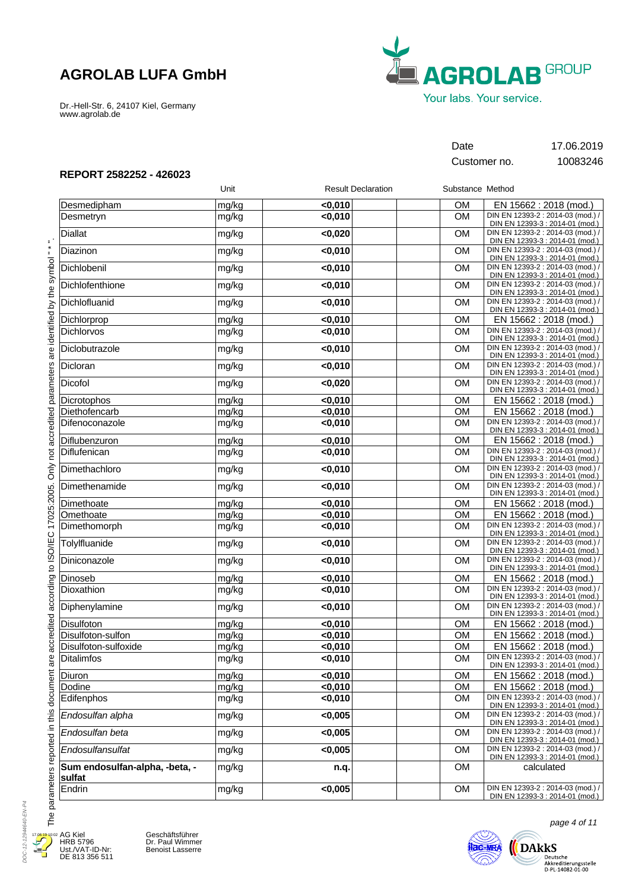Dr.-Hell-Str. 6, 24107 Kiel, Germany www.agrolab.de



## Date 17.06.2019

Customer no. 10083246

### **REPORT 2582252 - 426023**

|                                          | Unit  | <b>Result Declaration</b> |           | Substance Method                                                     |
|------------------------------------------|-------|---------------------------|-----------|----------------------------------------------------------------------|
| Desmedipham                              | mg/kg | $0,010$                   | <b>OM</b> | EN 15662 : 2018 (mod.)                                               |
| Desmetryn                                | mg/kg | $0,010$                   | <b>OM</b> | DIN EN 12393-2 : 2014-03 (mod.) /<br>DIN EN 12393-3 : 2014-01 (mod.) |
| <b>Diallat</b>                           | mg/kg | < 0,020                   | <b>OM</b> | DIN EN 12393-2 : 2014-03 (mod.) /<br>DIN EN 12393-3 : 2014-01 (mod.) |
| Diazinon                                 | mg/kg | < 0,010                   | <b>OM</b> | DIN EN 12393-2 : 2014-03 (mod.) /<br>DIN EN 12393-3 : 2014-01 (mod.) |
| Dichlobenil                              | mg/kg | $0,010$                   | <b>OM</b> | DIN EN 12393-2 : 2014-03 (mod.) /<br>DIN EN 12393-3 : 2014-01 (mod.) |
| Dichlofenthione                          | mg/kg | $0,010$                   | <b>OM</b> | DIN EN 12393-2 : 2014-03 (mod.) /<br>DIN EN 12393-3 : 2014-01 (mod.) |
| Dichlofluanid                            | mg/kg | $0,010$                   | <b>OM</b> | DIN EN 12393-2 : 2014-03 (mod.) /<br>DIN EN 12393-3 : 2014-01 (mod.) |
| Dichlorprop                              | mg/kg | < 0,010                   | <b>OM</b> | EN 15662 : 2018 (mod.)                                               |
| Dichlorvos                               | mg/kg | $0,010$                   | <b>OM</b> | DIN EN 12393-2 : 2014-03 (mod.) /<br>DIN EN 12393-3 : 2014-01 (mod.) |
| Diclobutrazole                           | mg/kg | $0,010$                   | <b>OM</b> | DIN EN 12393-2 : 2014-03 (mod.) /<br>DIN EN 12393-3 : 2014-01 (mod.) |
| Dicloran                                 | mg/kg | < 0,010                   | <b>OM</b> | DIN EN 12393-2 : 2014-03 (mod.) /<br>DIN EN 12393-3 : 2014-01 (mod.) |
| Dicofol                                  | mg/kg | < 0,020                   | <b>OM</b> | DIN EN 12393-2 : 2014-03 (mod.) /<br>DIN EN 12393-3 : 2014-01 (mod.) |
| Dicrotophos                              | mg/kg | < 0,010                   | <b>OM</b> | EN 15662: 2018 (mod.)                                                |
| Diethofencarb                            | mg/kg | < 0,010                   | <b>OM</b> | EN 15662 : 2018 (mod.)                                               |
| Difenoconazole                           | mg/kg | < 0,010                   | <b>OM</b> | DIN EN 12393-2 : 2014-03 (mod.) /<br>DIN EN 12393-3 : 2014-01 (mod.) |
| Diflubenzuron                            | mg/kg | $0,010$                   | <b>OM</b> | EN 15662 : 2018 (mod.)                                               |
| Diflufenican                             | mg/kg | $0,010$                   | <b>OM</b> | DIN EN 12393-2 : 2014-03 (mod.) /<br>DIN EN 12393-3 : 2014-01 (mod.) |
| Dimethachloro                            | mg/kg | $0,010$                   | <b>OM</b> | DIN EN 12393-2 : 2014-03 (mod.) /<br>DIN EN 12393-3 : 2014-01 (mod.) |
| Dimethenamide                            | mg/kg | $0,010$                   | <b>OM</b> | DIN EN 12393-2 : 2014-03 (mod.) /<br>DIN EN 12393-3 : 2014-01 (mod.) |
| Dimethoate                               | mg/kg | < 0,010                   | <b>OM</b> | EN 15662 : 2018 (mod.)                                               |
| Omethoate                                | mg/kg | < 0,010                   | <b>OM</b> | EN 15662 : 2018 (mod.)                                               |
| Dimethomorph                             | mg/kg | $0,010$                   | <b>OM</b> | DIN EN 12393-2 : 2014-03 (mod.) /<br>DIN EN 12393-3 : 2014-01 (mod.) |
| Tolylfluanide                            | mg/kg | $0,010$                   | <b>OM</b> | DIN EN 12393-2 : 2014-03 (mod.) /<br>DIN EN 12393-3 : 2014-01 (mod.) |
| Diniconazole                             | mg/kg | $0,010$                   | <b>OM</b> | DIN EN 12393-2 : 2014-03 (mod.) /<br>DIN EN 12393-3 : 2014-01 (mod.) |
| Dinoseb                                  | mg/kg | < 0,010                   | <b>OM</b> | EN 15662 : 2018 (mod.)                                               |
| Dioxathion                               | mg/kg | < 0,010                   | <b>OM</b> | DIN EN 12393-2 : 2014-03 (mod.) /<br>DIN EN 12393-3 : 2014-01 (mod.) |
| Diphenylamine                            | mg/kg | $0,010$                   | <b>OM</b> | DIN EN 12393-2 : 2014-03 (mod.) /<br>DIN EN 12393-3 : 2014-01 (mod.) |
| Disulfoton                               | mg/kg | $0,010$                   | <b>OM</b> | EN 15662 : 2018 (mod.)                                               |
| Disulfoton-sulfon                        | mg/kg | < 0,010                   | <b>OM</b> | EN 15662: 2018 (mod.)                                                |
| Disulfoton-sulfoxide                     | mg/kg | < 0,010                   | <b>OM</b> | EN 15662: 2018 (mod.)                                                |
| <b>Ditalimfos</b>                        | mg/kg | $0,010$                   | <b>OM</b> | DIN EN 12393-2 : 2014-03 (mod.) /<br>DIN EN 12393-3 : 2014-01 (mod.) |
| Diuron                                   | mg/kg | < 0.010                   | <b>OM</b> | EN 15662 : 2018 (mod.)                                               |
| Dodine                                   | mg/kg | $0,010$                   | <b>OM</b> | EN 15662: 2018 (mod.)                                                |
| Edifenphos                               | mg/kg | $0,010$                   | <b>OM</b> | DIN EN 12393-2 : 2014-03 (mod.) /<br>DIN EN 12393-3 : 2014-01 (mod.) |
| Endosulfan alpha                         | mg/kg | < 0,005                   | <b>OM</b> | DIN EN 12393-2 : 2014-03 (mod.) /<br>DIN EN 12393-3 : 2014-01 (mod.) |
| Endosulfan beta                          | mg/kg | < 0,005                   | <b>OM</b> | DIN EN 12393-2 : 2014-03 (mod.) /<br>DIN EN 12393-3 : 2014-01 (mod.) |
| Endosulfansulfat                         | mg/kg | < 0,005                   | <b>OM</b> | DIN EN 12393-2 : 2014-03 (mod.) /<br>DIN EN 12393-3 : 2014-01 (mod.) |
| Sum endosulfan-alpha, -beta, -<br>sulfat | mg/kg | n.q.                      | <b>OM</b> | calculated                                                           |
| Endrin                                   | mg/kg | < 0,005                   | OM        | DIN EN 12393-2 : 2014-03 (mod.) /<br>DIN EN 12393-3 : 2014-01 (mod.) |

The parameters reported in this document are accredited according to ISO/IEC 17025:2005. Only not accredited parameters are identified by the symbol."\*". The parameters reported in this document are accredited according to ISO/IEC 17025:2005. Only not accredited parameters are identified by the symbol " \* "



۲

AG Kiel HRB 5796 Ust./VAT-ID-Nr: DE 813 356 511 Geschäftsführer Dr. Paul Wimmer Benoist Lasserre



page 4 of 11

Deutsche<br>Akkreditierungsstelle<br>D-PL-14082-01-00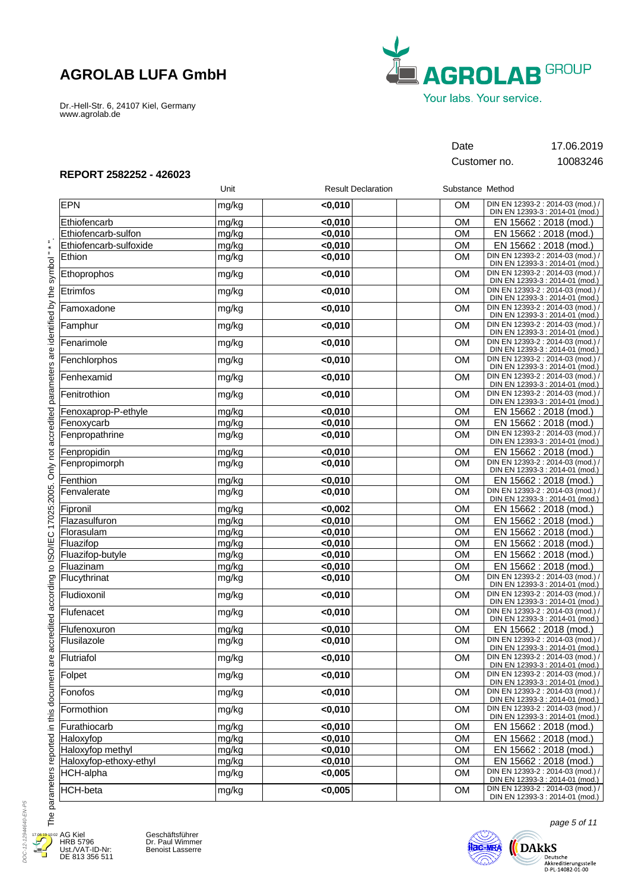Dr.-Hell-Str. 6, 24107 Kiel, Germany www.agrolab.de



Customer no. 10083246

Date 17.06.2019

### **REPORT 2582252 - 426023**

|                        | Unit  | <b>Result Declaration</b> | Substance Method |                                                                      |
|------------------------|-------|---------------------------|------------------|----------------------------------------------------------------------|
| <b>EPN</b>             | mg/kg | < 0,010                   | <b>OM</b>        | DIN EN 12393-2 : 2014-03 (mod.) /<br>DIN EN 12393-3 : 2014-01 (mod.) |
| Ethiofencarb           | mg/kg | < 0.010                   | <b>OM</b>        | EN 15662: 2018 (mod.)                                                |
| Ethiofencarb-sulfon    | mg/kg | $0,010$                   | <b>OM</b>        | EN 15662 : 2018 (mod.)                                               |
| Ethiofencarb-sulfoxide | mg/kg | $0,010$                   | <b>OM</b>        | EN 15662 : 2018 (mod.)                                               |
| Ethion                 | mg/kg | $0,010$                   | <b>OM</b>        | DIN EN 12393-2 : 2014-03 (mod.) /<br>DIN EN 12393-3 : 2014-01 (mod.) |
| Ethoprophos            | mg/kg | $0,010$                   | <b>OM</b>        | DIN EN 12393-2 : 2014-03 (mod.) /<br>DIN EN 12393-3 : 2014-01 (mod.) |
| Etrimfos               | mg/kg | < 0,010                   | <b>OM</b>        | DIN EN 12393-2 : 2014-03 (mod.) /<br>DIN EN 12393-3 : 2014-01 (mod.) |
| Famoxadone             | mg/kg | $0,010$                   | <b>OM</b>        | DIN EN 12393-2 : 2014-03 (mod.) /<br>DIN EN 12393-3 : 2014-01 (mod.) |
| Famphur                | mg/kg | < 0,010                   | <b>OM</b>        | DIN EN 12393-2 : 2014-03 (mod.) /<br>DIN EN 12393-3 : 2014-01 (mod.) |
| Fenarimole             | mg/kg | $0,010$                   | <b>OM</b>        | DIN EN 12393-2 : 2014-03 (mod.) /<br>DIN EN 12393-3 : 2014-01 (mod.) |
| Fenchlorphos           | mg/kg | < 0,010                   | <b>OM</b>        | DIN EN 12393-2 : 2014-03 (mod.) /<br>DIN EN 12393-3 : 2014-01 (mod.) |
| Fenhexamid             | mg/kg | $0,010$                   | <b>OM</b>        | DIN EN 12393-2 : 2014-03 (mod.) /<br>DIN EN 12393-3 : 2014-01 (mod.) |
| Fenitrothion           | mg/kg | $0,010$                   | <b>OM</b>        | DIN EN 12393-2 : 2014-03 (mod.) /<br>DIN EN 12393-3 : 2014-01 (mod.) |
| Fenoxaprop-P-ethyle    | mg/kg | $0,010$                   | <b>OM</b>        | EN 15662 : 2018 (mod.)                                               |
| Fenoxycarb             | mg/kg | $0,010$                   | <b>OM</b>        | EN 15662 : 2018 (mod.)                                               |
| Fenpropathrine         | mg/kg | < 0,010                   | <b>OM</b>        | DIN EN 12393-2 : 2014-03 (mod.) /<br>DIN EN 12393-3 : 2014-01 (mod.) |
| Fenpropidin            | mg/kg | $0,010$                   | <b>OM</b>        | EN 15662 : 2018 (mod.)                                               |
| Fenpropimorph          | mg/kg | $0,010$                   | <b>OM</b>        | DIN EN 12393-2 : 2014-03 (mod.) /<br>DIN EN 12393-3 : 2014-01 (mod.) |
| Fenthion               | mg/kg | < 0,010                   | <b>OM</b>        | EN 15662 : 2018 (mod.)                                               |
| Fenvalerate            | mg/kg | $0,010$                   | <b>OM</b>        | DIN EN 12393-2 : 2014-03 (mod.) /<br>DIN EN 12393-3 : 2014-01 (mod.) |
| Fipronil               | mg/kg | <0,002                    | <b>OM</b>        | EN 15662 : 2018 (mod.)                                               |
| Flazasulfuron          | mg/kg | < 0,010                   | <b>OM</b>        | EN 15662 : 2018 (mod.)                                               |
| Florasulam             | mg/kg | $0,010$                   | <b>OM</b>        | EN 15662 : 2018 (mod.)                                               |
| Fluazifop              | mg/kg | $0,010$                   | <b>OM</b>        | EN 15662 : 2018 (mod.)                                               |
| Fluazifop-butyle       | mg/kg | $0,010$                   | <b>OM</b>        | EN 15662 : 2018 (mod.)                                               |
| Fluazinam              | mg/kg | $0,010$                   | OM               | EN 15662 : 2018 (mod.)                                               |
| Flucythrinat           | mg/kg | $0,010$                   | <b>OM</b>        | DIN EN 12393-2 : 2014-03 (mod.) /<br>DIN EN 12393-3 : 2014-01 (mod.) |
| Fludioxonil            | mg/kg | < 0,010                   | <b>OM</b>        | DIN EN 12393-2 : 2014-03 (mod.) /<br>DIN EN 12393-3 : 2014-01 (mod.) |
| Flufenacet             | mg/kg | $0,010$                   | <b>OM</b>        | DIN EN 12393-2 : 2014-03 (mod.) /<br>DIN EN 12393-3 : 2014-01 (mod.) |
| Flufenoxuron           | mg/kg | < 0,010                   | <b>OM</b>        | EN 15662 : 2018 (mod.)                                               |
| Flusilazole            | mg/kg | $0,010$                   | <b>OM</b>        | DIN EN 12393-2 : 2014-03 (mod.) /<br>DIN EN 12393-3 : 2014-01 (mod.) |
| Flutriafol             | mg/kg | $0,010$                   | OM               | DIN EN 12393-2 : 2014-03 (mod.) /<br>DIN EN 12393-3 : 2014-01 (mod.) |
| Folpet                 | mg/kg | < 0.010                   | <b>OM</b>        | DIN EN 12393-2 : 2014-03 (mod.) /<br>DIN EN 12393-3 : 2014-01 (mod.) |
| Fonofos                | mg/kg | $0,010$                   | <b>OM</b>        | DIN EN 12393-2 : 2014-03 (mod.) /<br>DIN EN 12393-3 : 2014-01 (mod.) |
| Formothion             | mg/kg | $0,010$                   | <b>OM</b>        | DIN EN 12393-2 : 2014-03 (mod.) /<br>DIN EN 12393-3 : 2014-01 (mod.) |
| Furathiocarb           | mg/kg | $0,010$                   | OM               | EN 15662 : 2018 (mod.)                                               |
| Haloxyfop              | mg/kg | $0,010$                   | OM               | EN 15662 : 2018 (mod.)                                               |
| Haloxyfop methyl       | mg/kg | $0,010$                   | <b>OM</b>        | EN 15662 : 2018 (mod.)                                               |
| Haloxyfop-ethoxy-ethyl | mg/kg | $0,010$                   | <b>OM</b>        | EN 15662 : 2018 (mod.)                                               |
| HCH-alpha              | mg/kg | < 0,005                   | <b>OM</b>        | DIN EN 12393-2 : 2014-03 (mod.) /<br>DIN EN 12393-3 : 2014-01 (mod.) |
| <b>HCH-beta</b>        | mg/kg | < 0,005                   | <b>OM</b>        | DIN EN 12393-2 : 2014-03 (mod.) /<br>DIN EN 12393-3 : 2014-01 (mod.) |

DOC-12-12944640-EN-P5 DOC-12-12944640-EN-P5  $17.6$ Æ

۲

AG Kiel HRB 5796 Ust./VAT-ID-Nr: DE 813 356 511





page 5 of 11

 $\bigoplus\limits_{\text{Deutsche } \atop \text{Akkeediterungsstelle } \atop \text{D-PL-14082-01-00}}$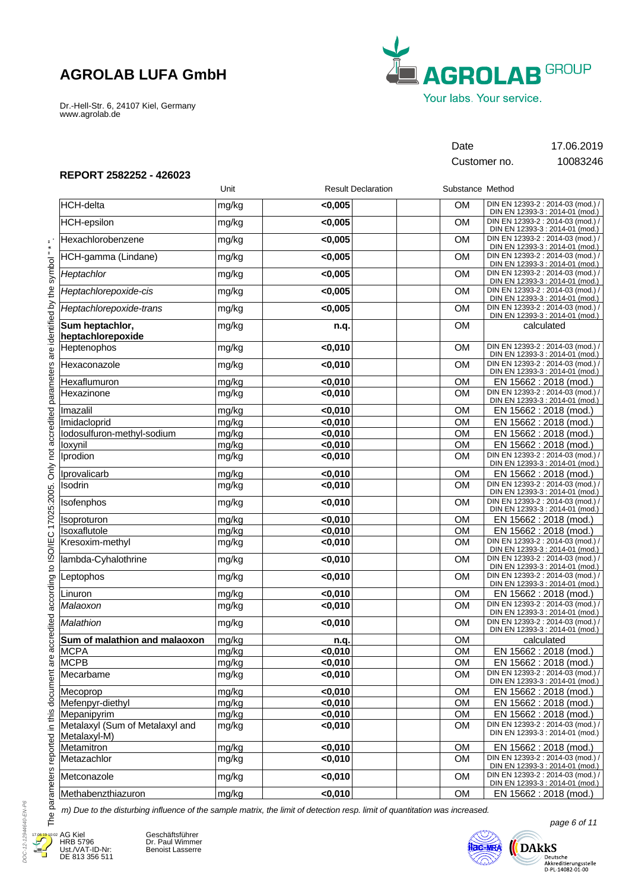Dr.-Hell-Str. 6, 24107 Kiel, Germany www.agrolab.de



Customer no. 10083246

Date 17.06.2019

### **REPORT 2582252 - 426023**

|                                                 | Unit  | <b>Result Declaration</b> | Substance Method |                                                                      |
|-------------------------------------------------|-------|---------------------------|------------------|----------------------------------------------------------------------|
| HCH-delta                                       | mg/kg | < 0,005                   | <b>OM</b>        | DIN EN 12393-2 : 2014-03 (mod.) /<br>DIN EN 12393-3 : 2014-01 (mod.) |
| <b>HCH-epsilon</b>                              | mg/kg | < 0,005                   | <b>OM</b>        | DIN EN 12393-2 : 2014-03 (mod.) /<br>DIN EN 12393-3 : 2014-01 (mod.) |
| Hexachlorobenzene                               | mg/kg | < 0,005                   | <b>OM</b>        | DIN EN 12393-2 : 2014-03 (mod.) /<br>DIN EN 12393-3 : 2014-01 (mod.) |
| HCH-gamma (Lindane)                             | mg/kg | < 0,005                   | <b>OM</b>        | DIN EN 12393-2 : 2014-03 (mod.) /<br>DIN EN 12393-3 : 2014-01 (mod.) |
| Heptachlor                                      | mg/kg | < 0,005                   | <b>OM</b>        | DIN EN 12393-2 : 2014-03 (mod.) /<br>DIN EN 12393-3 : 2014-01 (mod.) |
| Heptachlorepoxide-cis                           | mg/kg | < 0,005                   | <b>OM</b>        | DIN EN 12393-2 : 2014-03 (mod.) /<br>DIN EN 12393-3 : 2014-01 (mod.) |
| Heptachlorepoxide-trans                         | mg/kg | <0,005                    | OM               | DIN EN 12393-2 : 2014-03 (mod.) /<br>DIN EN 12393-3 : 2014-01 (mod.) |
| Sum heptachlor,<br>heptachlorepoxide            | mg/kg | n.q.                      | <b>OM</b>        | calculated                                                           |
| Heptenophos                                     | mg/kg | $0,010$                   | <b>OM</b>        | DIN EN 12393-2 : 2014-03 (mod.) /<br>DIN EN 12393-3 : 2014-01 (mod.) |
| Hexaconazole                                    | mg/kg | <0,010                    | OM               | DIN EN 12393-2 : 2014-03 (mod.) /<br>DIN EN 12393-3 : 2014-01 (mod.) |
| Hexaflumuron                                    | mg/kg | $0,010$                   | <b>OM</b>        | EN 15662 : 2018 (mod.)                                               |
| Hexazinone                                      | mg/kg | $0,010$                   | <b>OM</b>        | DIN EN 12393-2 : 2014-03 (mod.) /<br>DIN EN 12393-3 : 2014-01 (mod.) |
| Imazalil                                        | mg/kg | < 0,010                   | <b>OM</b>        | EN 15662 : 2018 (mod.)                                               |
| Imidacloprid                                    | mg/kg | $0,010$                   | <b>OM</b>        | EN 15662 : 2018 (mod.)                                               |
| lodosulfuron-methyl-sodium                      | mg/kg | < 0,010                   | <b>OM</b>        | EN 15662 : 2018 (mod.)                                               |
| loxynil                                         | mg/kg | <0,010                    | <b>OM</b>        | EN 15662 : 2018 (mod.)                                               |
| Iprodion                                        | mg/kg | $0,010$                   | <b>OM</b>        | DIN EN 12393-2 : 2014-03 (mod.) /<br>DIN EN 12393-3 : 2014-01 (mod.) |
| Iprovalicarb                                    | mg/kg | <0,010                    | <b>OM</b>        | EN 15662 : 2018 (mod.)                                               |
| Isodrin                                         | mg/kg | <0,010                    | OM               | DIN EN 12393-2 : 2014-03 (mod.) /<br>DIN EN 12393-3 : 2014-01 (mod.) |
| Isofenphos                                      | mg/kg | $0,010$                   | <b>OM</b>        | DIN EN 12393-2 : 2014-03 (mod.) /<br>DIN EN 12393-3 : 2014-01 (mod.) |
| Isoproturon                                     | mg/kg | $0,010$                   | <b>OM</b>        | EN 15662 : 2018 (mod.)                                               |
| Isoxaflutole                                    | mg/kg | < 0,010                   | <b>OM</b>        | EN 15662 : 2018 (mod.)                                               |
| Kresoxim-methyl                                 | mg/kg | $0,010$                   | <b>OM</b>        | DIN EN 12393-2 : 2014-03 (mod.) /<br>DIN EN 12393-3 : 2014-01 (mod.) |
| lambda-Cyhalothrine                             | mg/kg | $0,010$                   | <b>OM</b>        | DIN EN 12393-2 : 2014-03 (mod.) /<br>DIN EN 12393-3 : 2014-01 (mod.) |
| Leptophos                                       | mg/kg | <0,010                    | <b>OM</b>        | DIN EN 12393-2 : 2014-03 (mod.) /<br>DIN EN 12393-3 : 2014-01 (mod.) |
| Linuron                                         | mg/kg | $0,010$                   | <b>OM</b>        | EN 15662 : 2018 (mod.)                                               |
| Malaoxon                                        | mg/kg | $0,010$                   | OM               | DIN EN 12393-2 : 2014-03 (mod.) /<br>DIN EN 12393-3 : 2014-01 (mod.) |
| Malathion                                       | mg/kg | $0,010$                   | <b>OM</b>        | DIN EN 12393-2 : 2014-03 (mod.) /<br>DIN EN 12393-3 : 2014-01 (mod.) |
| Sum of malathion and malaoxon                   | mg/kg | n.q.                      | <b>OM</b>        | calculated                                                           |
| <b>MCPA</b>                                     | mg/kg | < 0,010                   | <b>OM</b>        | EN 15662 : 2018 (mod.)                                               |
| MCPB                                            | mg/kg | <0,010                    | OМ               | EN 15662 : 2018 (mod.)                                               |
| Mecarbame                                       | mg/kg | < 0,010                   | <b>OM</b>        | DIN EN 12393-2 : 2014-03 (mod.) /<br>DIN EN 12393-3 : 2014-01 (mod.) |
| Mecoprop                                        | mg/kg | $0,010$                   | <b>OM</b>        | EN 15662 : 2018 (mod.)                                               |
| Mefenpyr-diethyl                                | mg/kg | < 0,010                   | <b>OM</b>        | EN 15662 : 2018 (mod.)                                               |
| Mepanipyrim                                     | mg/kg | < 0,010                   | OM               | EN 15662 : 2018 (mod.)                                               |
| Metalaxyl (Sum of Metalaxyl and<br>Metalaxyl-M) | mg/kg | < 0,010                   | <b>OM</b>        | DIN EN 12393-2 : 2014-03 (mod.) /<br>DIN EN 12393-3 : 2014-01 (mod.) |
| Metamitron                                      | mg/kg | < 0,010                   | OM               | EN 15662 : 2018 (mod.)                                               |
| Metazachlor                                     | mg/kg | < 0,010                   | <b>OM</b>        | DIN EN 12393-2 : 2014-03 (mod.) /<br>DIN EN 12393-3 : 2014-01 (mod.) |
| Metconazole                                     | mg/kg | $0,010$                   | <b>OM</b>        | DIN EN 12393-2 : 2014-03 (mod.) /<br>DIN EN 12393-3 : 2014-01 (mod.) |
| Methabenzthiazuron                              | mg/kg | < 0,010                   | <b>OM</b>        | EN 15662 : 2018 (mod.)                                               |

*m) Due to the disturbing influence of the sample matrix, the limit of detection resp. limit of quantitation was increased.*



Geschäftsführer Dr. Paul Wimmer Benoist Lasserre

**ilac-MRA DARKS** 

page 6 of 11

Deutsche<br>Akkreditierungsstelle<br>D-PL-14082-01-00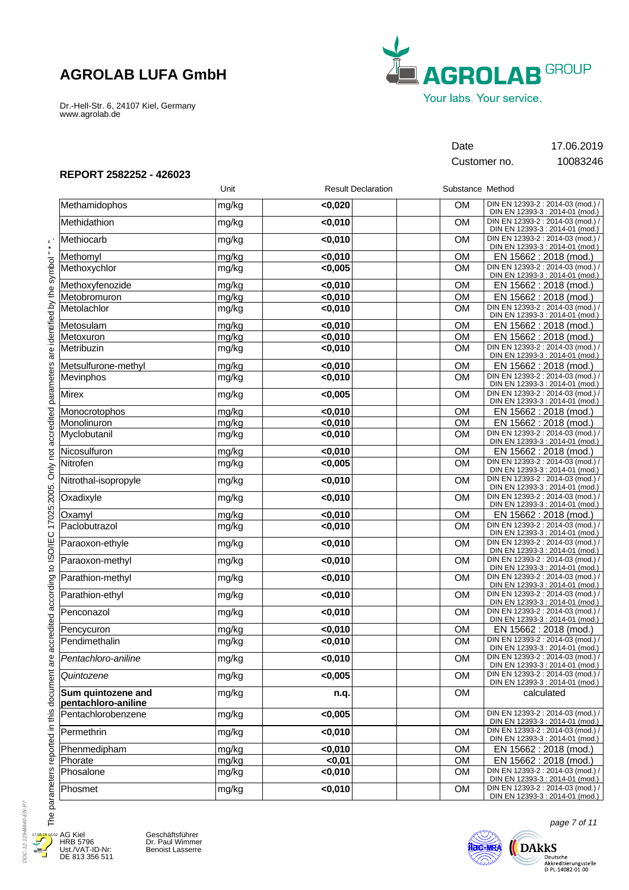Dr.-Hell-Str. 6, 24107 Kiel, Germany www.agrolab.de



Customer no. 10083246

Date 17.06.2019

### **REPORT 2582252 - 426023**

|                                           | Unit  | <b>Result Declaration</b> | Substance Method |                                                                      |
|-------------------------------------------|-------|---------------------------|------------------|----------------------------------------------------------------------|
| Methamidophos                             | mg/kg | < 0,020                   | OM.              | DIN EN 12393-2 : 2014-03 (mod.) /<br>DIN EN 12393-3 : 2014-01 (mod.) |
| Methidathion                              | mg/kg | $0,010$                   | <b>OM</b>        | DIN EN 12393-2 : 2014-03 (mod.) /<br>DIN EN 12393-3 : 2014-01 (mod.) |
| Methiocarb                                | mg/kg | < 0,010                   | <b>OM</b>        | DIN EN 12393-2 : 2014-03 (mod.) /<br>DIN EN 12393-3 : 2014-01 (mod.) |
| Methomyl                                  | mg/kg | < 0,010                   | <b>OM</b>        | EN 15662 : 2018 (mod.)                                               |
| Methoxychlor                              | mg/kg | < 0,005                   | <b>OM</b>        | DIN EN 12393-2 : 2014-03 (mod.) /<br>DIN EN 12393-3 : 2014-01 (mod.) |
| Methoxyfenozide                           | mg/kg | < 0,010                   | <b>OM</b>        | EN 15662 : 2018 (mod.)                                               |
| Metobromuron                              | mg/kg | < 0,010                   | OM               | EN 15662 : 2018 (mod.)                                               |
| Metolachlor                               | mg/kg | $0,010$                   | OM               | DIN EN 12393-2 : 2014-03 (mod.) /<br>DIN EN 12393-3 : 2014-01 (mod.) |
| Metosulam                                 | mg/kg | $0,010$                   | <b>OM</b>        | EN 15662 : 2018 (mod.)                                               |
| Metoxuron                                 | mg/kg | < 0,010                   | OM               | EN 15662 : 2018 (mod.)                                               |
| Metribuzin                                | mg/kg | $0,010$                   | <b>OM</b>        | DIN EN 12393-2 : 2014-03 (mod.) /<br>DIN EN 12393-3 : 2014-01 (mod.) |
| Metsulfurone-methyl                       | mg/kg | $0,010$                   | <b>OM</b>        | EN 15662 : 2018 (mod.)                                               |
| Mevinphos                                 | mg/kg | < 0,010                   | <b>OM</b>        | DIN EN 12393-2 : 2014-03 (mod.) /<br>DIN EN 12393-3 : 2014-01 (mod.) |
| Mirex                                     | mg/kg | < 0,005                   | <b>OM</b>        | DIN EN 12393-2 : 2014-03 (mod.) /<br>DIN EN 12393-3 : 2014-01 (mod.) |
| Monocrotophos                             | mg/kg | < 0,010                   | <b>OM</b>        | EN 15662: 2018 (mod.)                                                |
| Monolinuron                               | mg/kg | < 0,010                   | OM               | EN 15662 : 2018 (mod.)                                               |
| Myclobutanil                              | mg/kg | $0,010$                   | <b>OM</b>        | DIN EN 12393-2 : 2014-03 (mod.) /<br>DIN EN 12393-3 : 2014-01 (mod.) |
| Nicosulfuron                              | mg/kg | $0,010$                   | <b>OM</b>        | EN 15662 : 2018 (mod.)                                               |
| Nitrofen                                  | mg/kg | < 0,005                   | <b>OM</b>        | DIN EN 12393-2 : 2014-03 (mod.) /<br>DIN EN 12393-3 : 2014-01 (mod.) |
| Nitrothal-isopropyle                      | mg/kg | < 0,010                   | <b>OM</b>        | DIN EN 12393-2 : 2014-03 (mod.) /<br>DIN EN 12393-3 : 2014-01 (mod.) |
| Oxadixyle                                 | mg/kg | $0,010$                   | OM               | DIN EN 12393-2 : 2014-03 (mod.) /<br>DIN EN 12393-3 : 2014-01 (mod.) |
| Oxamyl                                    | mg/kg | $0,010$                   | <b>OM</b>        | EN 15662 : 2018 (mod.)                                               |
| Paclobutrazol                             | mg/kg | $0,010$                   | <b>OM</b>        | DIN EN 12393-2 : 2014-03 (mod.) /<br>DIN EN 12393-3 : 2014-01 (mod.) |
| Paraoxon-ethyle                           | mg/kg | < 0,010                   | <b>OM</b>        | DIN EN 12393-2 : 2014-03 (mod.) /<br>DIN EN 12393-3 : 2014-01 (mod.) |
| Paraoxon-methyl                           | mg/kg | $0,010$                   | <b>OM</b>        | DIN EN 12393-2 : 2014-03 (mod.) /<br>DIN EN 12393-3 : 2014-01 (mod.) |
| Parathion-methyl                          | mg/kg | < 0,010                   | <b>OM</b>        | DIN EN 12393-2 : 2014-03 (mod.) /<br>DIN EN 12393-3 : 2014-01 (mod.) |
| Parathion-ethyl                           | mg/kg | $0,010$                   | <b>OM</b>        | DIN EN 12393-2 : 2014-03 (mod.) /<br>DIN EN 12393-3 : 2014-01 (mod.) |
| Penconazol                                | mg/kg | $0,010$                   | <b>OM</b>        | DIN EN 12393-2 : 2014-03 (mod.) /<br>DIN EN 12393-3 : 2014-01 (mod.) |
| Pencycuron                                | mg/kg | $0,010$                   | <b>OM</b>        | EN 15662 : 2018 (mod.)                                               |
| Pendimethalin                             | mg/kg | < 0,010                   | <b>OM</b>        | DIN EN 12393-2 : 2014-03 (mod.) /<br>DIN EN 12393-3 : 2014-01 (mod.) |
| Pentachloro-aniline                       | mg/kg | <0,010                    | OM               | DIN EN 12393-2 : 2014-03 (mod.) /<br>DIN EN 12393-3 : 2014-01 (mod.) |
| Quintozene                                | mg/kg | < 0.005                   | <b>OM</b>        | DIN EN 12393-2 : 2014-03 (mod.) /<br>DIN EN 12393-3 : 2014-01 (mod.) |
| Sum quintozene and<br>pentachloro-aniline | mg/kg | n.q.                      | <b>OM</b>        | calculated                                                           |
| Pentachlorobenzene                        | mg/kg | < 0,005                   | <b>OM</b>        | DIN EN 12393-2 : 2014-03 (mod.) /                                    |
| Permethrin                                | mg/kg | $0,010$                   | <b>OM</b>        | DIN EN 12393-3 : 2014-01 (mod.)<br>DIN EN 12393-2 : 2014-03 (mod.) / |
| Phenmedipham                              | mg/kg | < 0,010                   | <b>OM</b>        | DIN EN 12393-3 : 2014-01 (mod.)<br>EN 15662 : 2018 (mod.)            |
| Phorate                                   | mg/kg | <0,01                     | <b>OM</b>        | EN 15662 : 2018 (mod.)                                               |
| Phosalone                                 | mg/kg | < 0,010                   | <b>OM</b>        | DIN EN 12393-2 : 2014-03 (mod.) /<br>DIN EN 12393-3 : 2014-01 (mod.) |
| Phosmet                                   | mg/kg | $0,010$                   | <b>OM</b>        | DIN EN 12393-2 : 2014-03 (mod.) /<br>DIN EN 12393-3 : 2014-01 (mod.) |



€

AG Kiel HRB 5796 Ust./VAT-ID-Nr: DE 813 356 511 Geschäftsführer Dr. Paul Wimmer Benoist Lasserre



page 7 of 11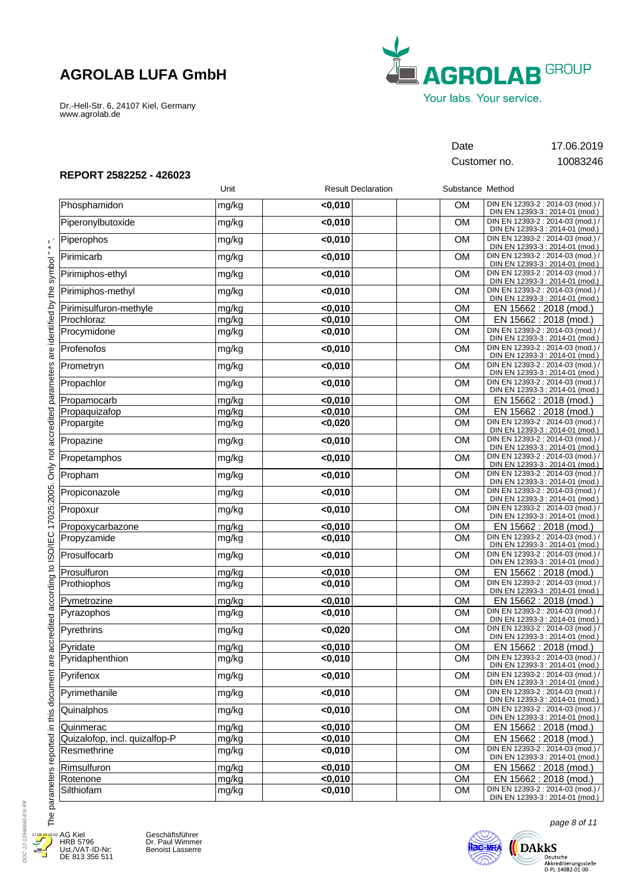Dr.-Hell-Str. 6, 24107 Kiel, Germany www.agrolab.de



Customer no. 10083246

Date 17.06.2019

**REPORT 2582252 - 426023**

|                               | Unit  | <b>Result Declaration</b> | Substance Method |                                                                      |
|-------------------------------|-------|---------------------------|------------------|----------------------------------------------------------------------|
| Phosphamidon                  | mg/kg | < 0.010                   | <b>OM</b>        | DIN EN 12393-2 : 2014-03 (mod.) /<br>DIN EN 12393-3 : 2014-01 (mod.) |
| Piperonylbutoxide             | mg/kg | $0,010$                   | <b>OM</b>        | DIN EN 12393-2 : 2014-03 (mod.) /<br>DIN EN 12393-3 : 2014-01 (mod.) |
| Piperophos                    | mg/kg | < 0,010                   | <b>OM</b>        | DIN EN 12393-2 : 2014-03 (mod.) /<br>DIN EN 12393-3 : 2014-01 (mod.) |
| Pirimicarb                    | mg/kg | $0,010$                   | OM               | DIN EN 12393-2 : 2014-03 (mod.) /<br>DIN EN 12393-3 : 2014-01 (mod.) |
| Pirimiphos-ethyl              | mg/kg | $0,010$                   | <b>OM</b>        | DIN EN 12393-2 : 2014-03 (mod.) /<br>DIN EN 12393-3 : 2014-01 (mod.) |
| Pirimiphos-methyl             | mg/kg | $0,010$                   | <b>OM</b>        | DIN EN 12393-2 : 2014-03 (mod.) /<br>DIN EN 12393-3 : 2014-01 (mod.) |
| Pirimisulfuron-methyle        | mg/kg | < 0,010                   | <b>OM</b>        | EN 15662 : 2018 (mod.)                                               |
| Prochloraz                    | mg/kg | < 0,010                   | OM               | EN 15662 : 2018 (mod.)                                               |
| Procymidone                   | mg/kg | $0,010$                   | <b>OM</b>        | DIN EN 12393-2 : 2014-03 (mod.) /<br>DIN EN 12393-3 : 2014-01 (mod.) |
| Profenofos                    | mg/kg | $0,010$                   | OM               | DIN EN 12393-2 : 2014-03 (mod.) /<br>DIN EN 12393-3 : 2014-01 (mod.) |
| Prometryn                     | mg/kg | $0,010$                   | <b>OM</b>        | DIN EN 12393-2 : 2014-03 (mod.) /<br>DIN EN 12393-3 : 2014-01 (mod.) |
| Propachlor                    | mg/kg | $0,010$                   | <b>OM</b>        | DIN EN 12393-2 : 2014-03 (mod.) /<br>DIN EN 12393-3 : 2014-01 (mod.) |
| Propamocarb                   | mg/kg | $0,010$                   | <b>OM</b>        | EN 15662 : 2018 (mod.)                                               |
| Propaquizafop                 | mg/kg | < 0,010                   | <b>OM</b>        | EN 15662 : 2018 (mod.)                                               |
| Propargite                    | mg/kg | < 0,020                   | <b>OM</b>        | DIN EN 12393-2 : 2014-03 (mod.) /<br>DIN EN 12393-3 : 2014-01 (mod.) |
| Propazine                     | mg/kg | $0,010$                   | OM               | DIN EN 12393-2 : 2014-03 (mod.) /<br>DIN EN 12393-3 : 2014-01 (mod.) |
| Propetamphos                  | mg/kg | $0,010$                   | <b>OM</b>        | DIN EN 12393-2 : 2014-03 (mod.) /<br>DIN EN 12393-3 : 2014-01 (mod.) |
| Propham                       | mg/kg | $0,010$                   | <b>OM</b>        | DIN EN 12393-2 : 2014-03 (mod.) /<br>DIN EN 12393-3 : 2014-01 (mod.) |
| Propiconazole                 | mg/kg | < 0,010                   | <b>OM</b>        | DIN EN 12393-2 : 2014-03 (mod.) /<br>DIN EN 12393-3 : 2014-01 (mod.) |
| Propoxur                      | mg/kg | $0,010$                   | <b>OM</b>        | DIN EN 12393-2 : 2014-03 (mod.) /<br>DIN EN 12393-3 : 2014-01 (mod.) |
| Propoxycarbazone              | mg/kg | $0,010$                   | <b>OM</b>        | EN 15662 : 2018 (mod.)                                               |
| Propyzamide                   | mg/kg | $0,010$                   | <b>OM</b>        | DIN EN 12393-2 : 2014-03 (mod.) /<br>DIN EN 12393-3 : 2014-01 (mod.) |
| Prosulfocarb                  | mg/kg | $0,010$                   | <b>OM</b>        | DIN EN 12393-2 : 2014-03 (mod.) /<br>DIN EN 12393-3 : 2014-01 (mod.) |
| Prosulfuron                   | mg/kg | $0,010$                   | <b>OM</b>        | EN 15662 : 2018 (mod.)                                               |
| Prothiophos                   | mg/kg | $0,010$                   | <b>OM</b>        | DIN EN 12393-2 : 2014-03 (mod.) /<br>DIN EN 12393-3 : 2014-01 (mod.) |
| Pymetrozine                   | mg/kg | < 0.010                   | <b>OM</b>        | EN 15662 : 2018 (mod.)                                               |
| Pyrazophos                    | mg/kg | $0,010$                   | <b>OM</b>        | DIN EN 12393-2 : 2014-03 (mod.) /<br>DIN EN 12393-3 : 2014-01 (mod.) |
| Pyrethrins                    | mg/kg | < 0,020                   | <b>OM</b>        | DIN EN 12393-2 : 2014-03 (mod.) /<br>DIN EN 12393-3 : 2014-01 (mod.) |
| Pyridate                      | mg/kg | < 0.010                   | <b>OM</b>        | EN 15662 : 2018 (mod.)                                               |
| Pyridaphenthion               | mg/kg | <0,010                    | OM               | DIN EN 12393-2 : 2014-03 (mod.) /<br>DIN EN 12393-3 : 2014-01 (mod.) |
| Pyrifenox                     | mg/kg | < 0,010                   | <b>OM</b>        | DIN EN 12393-2 : 2014-03 (mod.) /<br>DIN EN 12393-3 : 2014-01 (mod.) |
| Pyrimethanile                 | mg/kg | $0,010$                   | <b>OM</b>        | DIN EN 12393-2 : 2014-03 (mod.) /<br>DIN EN 12393-3 : 2014-01 (mod.) |
| Quinalphos                    | mg/kg | $0,010$                   | <b>OM</b>        | DIN EN 12393-2 : 2014-03 (mod.) /<br>DIN EN 12393-3 : 2014-01 (mod.) |
| Quinmerac                     | mg/kg | $0,010$                   | <b>OM</b>        | EN 15662 : 2018 (mod.)                                               |
| Quizalofop, incl. quizalfop-P | mg/kg | < 0,010                   | OM               | EN 15662 : 2018 (mod.)                                               |
| Resmethrine                   | mg/kg | $0,010$                   | <b>OM</b>        | DIN EN 12393-2 : 2014-03 (mod.) /<br>DIN EN 12393-3 : 2014-01 (mod.) |
| Rimsulfuron                   | mg/kg | < 0,010                   | OM               | EN 15662 : 2018 (mod.)                                               |
| Rotenone                      | mg/kg | < 0,010                   | OM               | EN 15662 : 2018 (mod.)                                               |
| Silthiofam                    | mg/kg | $0,010$                   | OM               | DIN EN 12393-2 : 2014-03 (mod.) /<br>DIN EN 12393-3 : 2014-01 (mod.) |



۲

AG Kiel HRB 5796 Ust./VAT-ID-Nr: DE 813 356 511

Geschäftsführer Dr. Paul Wimmer Benoist Lasserre



page 8 of 11

 $\bigoplus\limits_{\text{Deutsche } \atop \text{Akkeediterungsstelle } \atop \text{D-PL-14082-01-00}}$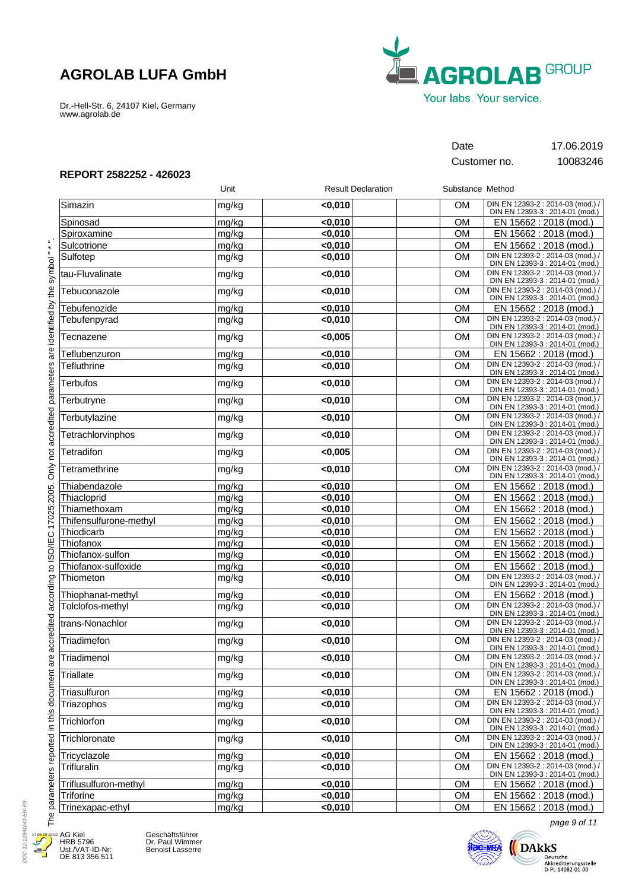Dr.-Hell-Str. 6, 24107 Kiel, Germany www.agrolab.de



Customer no. 10083246

Date 17.06.2019

### **REPORT 2582252 - 426023**

|                        | Unit  | <b>Result Declaration</b> | Substance Method |                                                                      |
|------------------------|-------|---------------------------|------------------|----------------------------------------------------------------------|
| Simazin                | mg/kg | < 0,010                   | <b>OM</b>        | DIN EN 12393-2 : 2014-03 (mod.) /<br>DIN EN 12393-3 : 2014-01 (mod.) |
| Spinosad               | mg/kg | < 0,010                   | <b>OM</b>        | EN 15662 : 2018 (mod.)                                               |
| Spiroxamine            | mg/kg | < 0,010                   | <b>OM</b>        | EN 15662 : 2018 (mod.)                                               |
| Sulcotrione            | mg/kg | < 0.010                   | <b>OM</b>        | EN 15662 : 2018 (mod.)                                               |
| Sulfotep               | mg/kg | $0,010$                   | <b>OM</b>        | DIN EN 12393-2 : 2014-03 (mod.) /<br>DIN EN 12393-3 : 2014-01 (mod.) |
| tau-Fluvalinate        | mg/kg | < 0,010                   | <b>OM</b>        | DIN EN 12393-2 : 2014-03 (mod.) /<br>DIN EN 12393-3 : 2014-01 (mod.) |
| Tebuconazole           | mg/kg | $0,010$                   | <b>OM</b>        | DIN EN 12393-2 : 2014-03 (mod.) /<br>DIN EN 12393-3 : 2014-01 (mod.) |
| Tebufenozide           | mg/kg | < 0,010                   | <b>OM</b>        | EN 15662 : 2018 (mod.)                                               |
| Tebufenpyrad           | mg/kg | < 0,010                   | <b>OM</b>        | DIN EN 12393-2 : 2014-03 (mod.) /<br>DIN EN 12393-3 : 2014-01 (mod.) |
| Tecnazene              | mg/kg | < 0,005                   | <b>OM</b>        | DIN EN 12393-2 : 2014-03 (mod.) /<br>DIN EN 12393-3 : 2014-01 (mod.) |
| Teflubenzuron          | mg/kg | < 0,010                   | <b>OM</b>        | EN 15662 : 2018 (mod.)                                               |
| <b>Tefluthrine</b>     | mg/kg | < 0,010                   | <b>OM</b>        | DIN EN 12393-2 : 2014-03 (mod.) /<br>DIN EN 12393-3 : 2014-01 (mod.) |
| <b>Terbufos</b>        | mg/kg | < 0,010                   | <b>OM</b>        | DIN EN 12393-2 : 2014-03 (mod.) /<br>DIN EN 12393-3 : 2014-01 (mod.) |
| Terbutryne             | mg/kg | $0,010$                   | <b>OM</b>        | DIN EN 12393-2 : 2014-03 (mod.)<br>DIN EN 12393-3 : 2014-01 (mod.)   |
| Terbutylazine          | mg/kg | < 0,010                   | <b>OM</b>        | DIN EN 12393-2 : 2014-03 (mod.) /<br>DIN EN 12393-3 : 2014-01 (mod.) |
| Tetrachlorvinphos      | mg/kg | < 0,010                   | <b>OM</b>        | DIN EN 12393-2 : 2014-03 (mod.) /<br>DIN EN 12393-3 : 2014-01 (mod.) |
| Tetradifon             | mg/kg | < 0,005                   | <b>OM</b>        | DIN EN 12393-2 : 2014-03 (mod.) /<br>DIN EN 12393-3 : 2014-01 (mod.) |
| Tetramethrine          | mg/kg | < 0,010                   | <b>OM</b>        | DIN EN 12393-2 : 2014-03 (mod.) /<br>DIN EN 12393-3 : 2014-01 (mod.) |
| Thiabendazole          | mg/kg | < 0,010                   | <b>OM</b>        | EN 15662: 2018 (mod.)                                                |
| Thiacloprid            | mg/kg | < 0,010                   | OM               | EN 15662 : 2018 (mod.)                                               |
| Thiamethoxam           | mg/kg | $0,010$                   | OM               | EN 15662 : 2018 (mod.)                                               |
| Thifensulfurone-methyl | mg/kg | $0,010$                   | <b>OM</b>        | EN 15662 : 2018 (mod.)                                               |
| Thiodicarb             | mg/kg | < 0,010                   | <b>OM</b>        | EN 15662 : 2018 (mod.)                                               |
| Thiofanox              | mg/kg | < 0,010                   | <b>OM</b>        | EN 15662 : 2018 (mod.)                                               |
| Thiofanox-sulfon       | mg/kg | < 0,010                   | <b>OM</b>        | EN 15662 : 2018 (mod.)                                               |
| Thiofanox-sulfoxide    | mg/kg | $0,010$                   | OM               | EN 15662 : 2018 (mod.)                                               |
| Thiometon              | mg/kg | < 0,010                   | <b>OM</b>        | DIN EN 12393-2 : 2014-03 (mod.) /<br>DIN EN 12393-3 : 2014-01 (mod.) |
| Thiophanat-methyl      | mg/kg | < 0,010                   | <b>OM</b>        | EN 15662 : 2018 (mod.)                                               |
| Tolclofos-methyl       | mg/kg | < 0,010                   | <b>OM</b>        | DIN EN 12393-2 : 2014-03 (mod.) /<br>DIN EN 12393-3 : 2014-01 (mod.) |
| trans-Nonachlor        | mg/kg | $0,010$                   | <b>OM</b>        | DIN EN 12393-2 : 2014-03 (mod.) /<br>DIN EN 12393-3 : 2014-01 (mod.) |
| Triadimefon            | mg/kg | < 0,010                   | <b>OM</b>        | DIN EN 12393-2 : 2014-03 (mod.) /<br>DIN EN 12393-3 : 2014-01 (mod.) |
| Triadimenol            | mg/kg | < 0,010                   | OM               | DIN EN 12393-2 : 2014-03 (mod.) /<br>DIN EN 12393-3 : 2014-01 (mod.) |
| Triallate              | mg/kg | < 0.010                   | <b>OM</b>        | DIN EN 12393-2 : 2014-03 (mod.) /<br>DIN EN 12393-3 : 2014-01 (mod.) |
| Triasulfuron           | mg/kg | < 0,010                   | <b>OM</b>        | EN 15662 : 2018 (mod.)                                               |
| Triazophos             | mg/kg | < 0,010                   | <b>OM</b>        | DIN EN 12393-2 : 2014-03 (mod.) /<br>DIN EN 12393-3 : 2014-01 (mod.) |
| Trichlorfon            | mg/kg | < 0,010                   | <b>OM</b>        | DIN EN 12393-2 : 2014-03 (mod.) /<br>DIN EN 12393-3 : 2014-01 (mod.) |
| Trichloronate          | mg/kg | < 0,010                   | <b>OM</b>        | DIN EN 12393-2 : 2014-03 (mod.) /<br>DIN EN 12393-3 : 2014-01 (mod.) |
| Tricyclazole           | mg/kg | < 0,010                   | <b>OM</b>        | EN 15662 : 2018 (mod.)                                               |
| Trifluralin            | mg/kg | $0,010$                   | <b>OM</b>        | DIN EN 12393-2 : 2014-03 (mod.) /<br>DIN EN 12393-3 : 2014-01 (mod.) |
| Triflusulfuron-methyl  | mg/kg | $0,010$                   | OM               | EN 15662 : 2018 (mod.)                                               |
| Triforine              | mg/kg | < 0,010                   | OM               | EN 15662: 2018 (mod.)                                                |
| Trinexapac-ethyl       | mg/kg | < 0,010                   | OM               | EN 15662 : 2018 (mod.)                                               |

DOC-12-12944640-EN-P9 DOC-12-12944640-EN-P9  $17.0<sup>6</sup>$ Æ

E

AG Kiel HRB 5796 Ust./VAT-ID-Nr: DE 813 356 511

Geschäftsführer Dr. Paul Wimmer Benoist Lasserre



page 9 of 11

 $\bigoplus\limits_{\text{Deutsche } \atop \text{Akkeediterungstelle } \atop \text{D-PL-14082-01-00}}\hspace{-10pt} \underbrace{\text{Deutsch}}_{\text{D-PL-14082-01-00}}$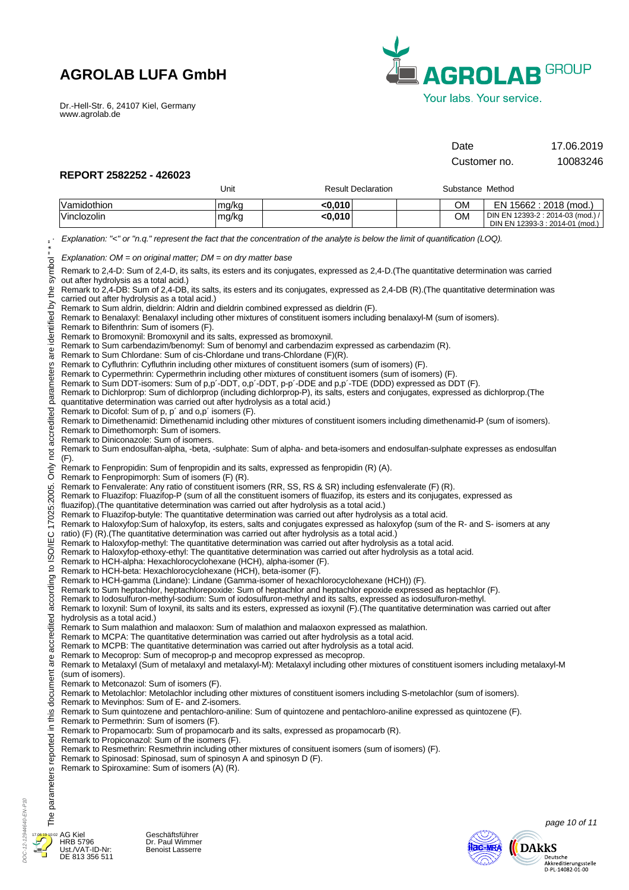Dr.-Hell-Str. 6, 24107 Kiel, Germany www.agrolab.de



| Date         | 17.06.2019 |
|--------------|------------|
| Customer no. | 10083246   |

### **REPORT 2582252 - 426023**

|                                                                                                                                                                                                                                                                                                                                                                                                                                                                                                                                                                                                                                                                                                                                                                                                                                                                                                                                                                                                                                                                                                                                                                                                                                                                                                                                                                                                                                                                                                                                                                                                                                                                                                                                                                                                                                                                     |                                                                                                                                                                                                                                                                                                                                                                                                                                                                                                                                                                                                                                                                                                                                                                                                                                                                                                                                                                                                                                                                                                                                                                                                                                                                                                                                                                                                                                                                                                                                                                                                                                                                                                                                                                                                                                                                                                                                                                                                                                                                                                                                                                                                                                                                                                                                                                                                                                                                                                                                                                                                                         | Unit  | <b>Result Declaration</b> | Substance Method |                                   |
|---------------------------------------------------------------------------------------------------------------------------------------------------------------------------------------------------------------------------------------------------------------------------------------------------------------------------------------------------------------------------------------------------------------------------------------------------------------------------------------------------------------------------------------------------------------------------------------------------------------------------------------------------------------------------------------------------------------------------------------------------------------------------------------------------------------------------------------------------------------------------------------------------------------------------------------------------------------------------------------------------------------------------------------------------------------------------------------------------------------------------------------------------------------------------------------------------------------------------------------------------------------------------------------------------------------------------------------------------------------------------------------------------------------------------------------------------------------------------------------------------------------------------------------------------------------------------------------------------------------------------------------------------------------------------------------------------------------------------------------------------------------------------------------------------------------------------------------------------------------------|-------------------------------------------------------------------------------------------------------------------------------------------------------------------------------------------------------------------------------------------------------------------------------------------------------------------------------------------------------------------------------------------------------------------------------------------------------------------------------------------------------------------------------------------------------------------------------------------------------------------------------------------------------------------------------------------------------------------------------------------------------------------------------------------------------------------------------------------------------------------------------------------------------------------------------------------------------------------------------------------------------------------------------------------------------------------------------------------------------------------------------------------------------------------------------------------------------------------------------------------------------------------------------------------------------------------------------------------------------------------------------------------------------------------------------------------------------------------------------------------------------------------------------------------------------------------------------------------------------------------------------------------------------------------------------------------------------------------------------------------------------------------------------------------------------------------------------------------------------------------------------------------------------------------------------------------------------------------------------------------------------------------------------------------------------------------------------------------------------------------------------------------------------------------------------------------------------------------------------------------------------------------------------------------------------------------------------------------------------------------------------------------------------------------------------------------------------------------------------------------------------------------------------------------------------------------------------------------------------------------------|-------|---------------------------|------------------|-----------------------------------|
|                                                                                                                                                                                                                                                                                                                                                                                                                                                                                                                                                                                                                                                                                                                                                                                                                                                                                                                                                                                                                                                                                                                                                                                                                                                                                                                                                                                                                                                                                                                                                                                                                                                                                                                                                                                                                                                                     | Vamidothion                                                                                                                                                                                                                                                                                                                                                                                                                                                                                                                                                                                                                                                                                                                                                                                                                                                                                                                                                                                                                                                                                                                                                                                                                                                                                                                                                                                                                                                                                                                                                                                                                                                                                                                                                                                                                                                                                                                                                                                                                                                                                                                                                                                                                                                                                                                                                                                                                                                                                                                                                                                                             | mg/kg | < 0,010                   | OМ               | EN 15662 : 2018 (mod.)            |
|                                                                                                                                                                                                                                                                                                                                                                                                                                                                                                                                                                                                                                                                                                                                                                                                                                                                                                                                                                                                                                                                                                                                                                                                                                                                                                                                                                                                                                                                                                                                                                                                                                                                                                                                                                                                                                                                     | Vinclozolin                                                                                                                                                                                                                                                                                                                                                                                                                                                                                                                                                                                                                                                                                                                                                                                                                                                                                                                                                                                                                                                                                                                                                                                                                                                                                                                                                                                                                                                                                                                                                                                                                                                                                                                                                                                                                                                                                                                                                                                                                                                                                                                                                                                                                                                                                                                                                                                                                                                                                                                                                                                                             | mg/kg | < 0,010                   | <b>OM</b>        | DIN EN 12393-2 : 2014-03 (mod.) / |
| $\equiv$<br>"lodmys<br>identified by the<br>are<br>not accredited parameters<br>Only<br>17025:2005.<br>ccredited according to ISO/IEC<br>σ<br><b>n</b><br>$\bar{\sigma}$                                                                                                                                                                                                                                                                                                                                                                                                                                                                                                                                                                                                                                                                                                                                                                                                                                                                                                                                                                                                                                                                                                                                                                                                                                                                                                                                                                                                                                                                                                                                                                                                                                                                                            | Explanation: "<" or "n.q." represent the fact that the concentration of the analyte is below the limit of quantification (LOQ).<br>Explanation: $OM = on$ original matter; $DM = on$ dry matter base<br>Remark to 2,4-D: Sum of 2,4-D, its salts, its esters and its conjugates, expressed as 2,4-D. (The quantitative determination was carried<br>out after hydrolysis as a total acid.)<br>Remark to 2,4-DB: Sum of 2,4-DB, its salts, its esters and its conjugates, expressed as 2,4-DB (R). (The quantitative determination was<br>carried out after hydrolysis as a total acid.)<br>Remark to Sum aldrin, dieldrin: Aldrin and dieldrin combined expressed as dieldrin (F).<br>Remark to Benalaxyl: Benalaxyl including other mixtures of constituent isomers including benalaxyl-M (sum of isomers).<br>Remark to Bifenthrin: Sum of isomers (F).<br>Remark to Bromoxynil: Bromoxynil and its salts, expressed as bromoxynil.<br>Remark to Sum carbendazim/benomyl: Sum of benomyl and carbendazim expressed as carbendazim (R).<br>Remark to Sum Chlordane: Sum of cis-Chlordane und trans-Chlordane (F)(R).<br>Remark to Cyfluthrin: Cyfluthrin including other mixtures of constituent isomers (sum of isomers) (F).<br>Remark to Cypermethrin: Cypermethrin including other mixtures of constituent isomers (sum of isomers) (F).<br>Remark to Sum DDT-isomers: Sum of p,p'-DDT, o,p'-DDT, p-p'-DDE and p,p'-TDE (DDD) expressed as DDT (F).<br>Remark to Dichlorprop: Sum of dichlorprop (including dichlorprop-P), its salts, esters and conjugates, expressed as dichlorprop. (The<br>quantitative determination was carried out after hydrolysis as a total acid.)<br>Remark to Dicofol: Sum of p, p' and o,p' isomers (F).<br>Remark to Dimethenamid: Dimethenamid including other mixtures of constituent isomers including dimethenamid-P (sum of isomers).<br>Remark to Dimethomorph: Sum of isomers.<br>Remark to Diniconazole: Sum of isomers.<br>Remark to Sum endosulfan-alpha, -beta, -sulphate: Sum of alpha- and beta-isomers and endosulfan-sulphate expresses as endosulfan<br>$(F)$ .<br>Remark to Fenpropidin: Sum of fenpropidin and its salts, expressed as fenpropidin (R) (A).<br>Remark to Fenpropimorph: Sum of isomers (F) (R).<br>Remark to Fenvalerate: Any ratio of constituent isomers (RR, SS, RS & SR) including esfenvalerate (F) (R).<br>Remark to Fluazifop: Fluazifop-P (sum of all the constituent isomers of fluazifop, its esters and its conjugates, expressed as<br>hydrolysis as a total acid.)<br>(sum of isomers).<br>Remark to Metconazol: Sum of isomers (F). |       |                           |                  | DIN EN 12393-3 : 2014-01 (mod.)   |
| fluazifop). (The quantitative determination was carried out after hydrolysis as a total acid.)<br>Remark to Fluazifop-butyle: The quantitative determination was carried out after hydrolysis as a total acid.<br>Remark to Haloxyfop:Sum of haloxyfop, its esters, salts and conjugates expressed as haloxyfop (sum of the R- and S- isomers at any<br>ratio) (F) (R). (The quantitative determination was carried out after hydrolysis as a total acid.)<br>Remark to Haloxyfop-methyl: The quantitative determination was carried out after hydrolysis as a total acid.<br>Remark to Haloxyfop-ethoxy-ethyl: The quantitative determination was carried out after hydrolysis as a total acid.<br>Remark to HCH-alpha: Hexachlorocyclohexane (HCH), alpha-isomer (F).<br>Remark to HCH-beta: Hexachlorocyclohexane (HCH), beta-isomer (F).<br>Remark to HCH-gamma (Lindane): Lindane (Gamma-isomer of hexachlorocyclohexane (HCH)) (F).<br>Remark to Sum heptachlor, heptachlorepoxide: Sum of heptachlor and heptachlor epoxide expressed as heptachlor (F).<br>Remark to lodosulfuron-methyl-sodium: Sum of iodosulfuron-methyl and its salts, expressed as iodosulfuron-methyl.<br>Remark to loxynil: Sum of loxynil, its salts and its esters, expressed as ioxynil (F). (The quantitative determination was carried out after<br>Remark to Sum malathion and malaoxon: Sum of malathion and malaoxon expressed as malathion.<br>Remark to MCPA: The quantitative determination was carried out after hydrolysis as a total acid.<br>Remark to MCPB: The quantitative determination was carried out after hydrolysis as a total acid.<br>Remark to Mecoprop: Sum of mecoprop-p and mecoprop expressed as mecoprop.<br>Remark to Metalaxyl (Sum of metalaxyl and metalaxyl-M): Metalaxyl including other mixtures of constituent isomers including metalaxyl-M |                                                                                                                                                                                                                                                                                                                                                                                                                                                                                                                                                                                                                                                                                                                                                                                                                                                                                                                                                                                                                                                                                                                                                                                                                                                                                                                                                                                                                                                                                                                                                                                                                                                                                                                                                                                                                                                                                                                                                                                                                                                                                                                                                                                                                                                                                                                                                                                                                                                                                                                                                                                                                         |       |                           |                  |                                   |
| document<br>Remark to Metolachlor: Metolachlor including other mixtures of constituent isomers including S-metolachlor (sum of isomers).<br>Remark to Mevinphos: Sum of E- and Z-isomers.<br>$\overline{\text{in}}$ this<br>Remark to Sum quintozene and pentachloro-aniline: Sum of quintozene and pentachloro-aniline expressed as quintozene (F).<br>Remark to Permethrin: Sum of isomers (F).<br>Remark to Propamocarb: Sum of propamocarb and its salts, expressed as propamocarb (R).<br>The parameters reported<br>Remark to Propiconazol: Sum of the isomers (F).<br>Remark to Resmethrin: Resmethrin including other mixtures of consituent isomers (sum of isomers) (F).<br>Remark to Spinosad: Spinosad, sum of spinosyn A and spinosyn D (F).<br>Remark to Spiroxamine: Sum of isomers (A) (R).                                                                                                                                                                                                                                                                                                                                                                                                                                                                                                                                                                                                                                                                                                                                                                                                                                                                                                                                                                                                                                                         |                                                                                                                                                                                                                                                                                                                                                                                                                                                                                                                                                                                                                                                                                                                                                                                                                                                                                                                                                                                                                                                                                                                                                                                                                                                                                                                                                                                                                                                                                                                                                                                                                                                                                                                                                                                                                                                                                                                                                                                                                                                                                                                                                                                                                                                                                                                                                                                                                                                                                                                                                                                                                         |       |                           |                  |                                   |
|                                                                                                                                                                                                                                                                                                                                                                                                                                                                                                                                                                                                                                                                                                                                                                                                                                                                                                                                                                                                                                                                                                                                                                                                                                                                                                                                                                                                                                                                                                                                                                                                                                                                                                                                                                                                                                                                     |                                                                                                                                                                                                                                                                                                                                                                                                                                                                                                                                                                                                                                                                                                                                                                                                                                                                                                                                                                                                                                                                                                                                                                                                                                                                                                                                                                                                                                                                                                                                                                                                                                                                                                                                                                                                                                                                                                                                                                                                                                                                                                                                                                                                                                                                                                                                                                                                                                                                                                                                                                                                                         |       |                           |                  | page 10 of 11                     |



DOC-12-12944640-EN-P10

DOC-12-12944640-EN-P10

Geschäftsführer Dr. Paul Wimmer Benoist Lasserre